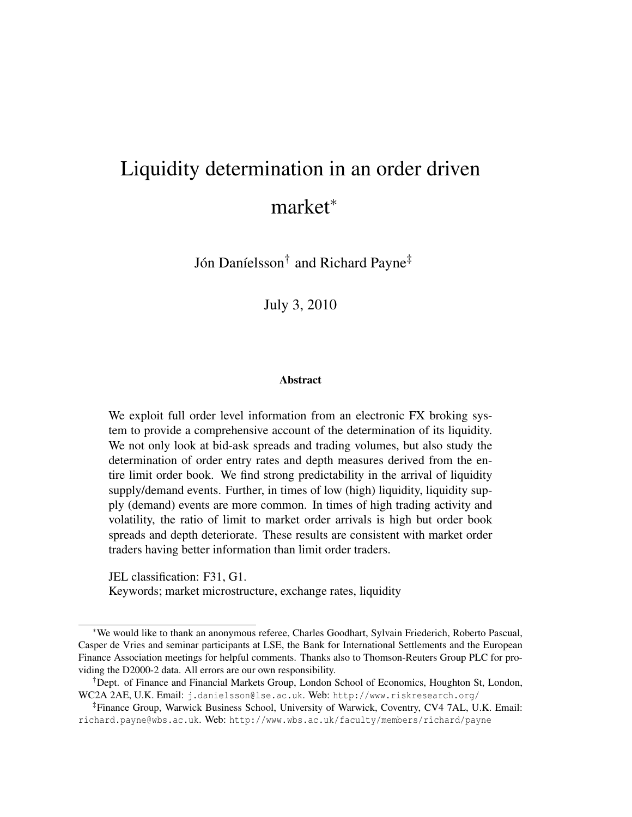# Liquidity determination in an order driven market<sup>∗</sup>

Jón Daníelsson $^\dagger$  and Richard Payne $^\ddagger$ 

July 3, 2010

#### Abstract

We exploit full order level information from an electronic FX broking system to provide a comprehensive account of the determination of its liquidity. We not only look at bid-ask spreads and trading volumes, but also study the determination of order entry rates and depth measures derived from the entire limit order book. We find strong predictability in the arrival of liquidity supply/demand events. Further, in times of low (high) liquidity, liquidity supply (demand) events are more common. In times of high trading activity and volatility, the ratio of limit to market order arrivals is high but order book spreads and depth deteriorate. These results are consistent with market order traders having better information than limit order traders.

JEL classification: F31, G1. Keywords; market microstructure, exchange rates, liquidity

<sup>∗</sup>We would like to thank an anonymous referee, Charles Goodhart, Sylvain Friederich, Roberto Pascual, Casper de Vries and seminar participants at LSE, the Bank for International Settlements and the European Finance Association meetings for helpful comments. Thanks also to Thomson-Reuters Group PLC for providing the D2000-2 data. All errors are our own responsibility.

<sup>†</sup>Dept. of Finance and Financial Markets Group, London School of Economics, Houghton St, London, WC2A 2AE, U.K. Email: j.danielsson@lse.ac.uk. Web: http://www.riskresearch.org/

<sup>‡</sup>Finance Group, Warwick Business School, University of Warwick, Coventry, CV4 7AL, U.K. Email: richard.payne@wbs.ac.uk. Web: http://www.wbs.ac.uk/faculty/members/richard/payne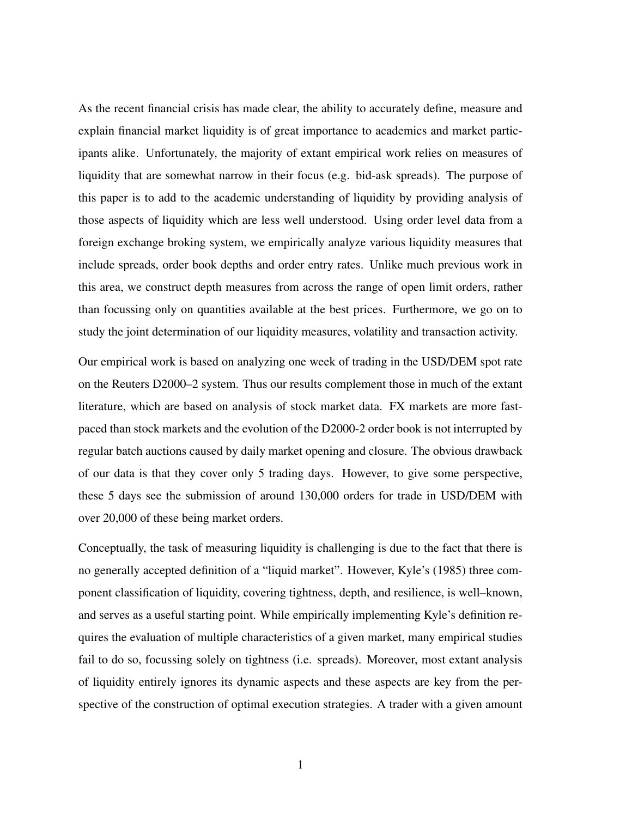As the recent financial crisis has made clear, the ability to accurately define, measure and explain financial market liquidity is of great importance to academics and market participants alike. Unfortunately, the majority of extant empirical work relies on measures of liquidity that are somewhat narrow in their focus (e.g. bid-ask spreads). The purpose of this paper is to add to the academic understanding of liquidity by providing analysis of those aspects of liquidity which are less well understood. Using order level data from a foreign exchange broking system, we empirically analyze various liquidity measures that include spreads, order book depths and order entry rates. Unlike much previous work in this area, we construct depth measures from across the range of open limit orders, rather than focussing only on quantities available at the best prices. Furthermore, we go on to study the joint determination of our liquidity measures, volatility and transaction activity.

Our empirical work is based on analyzing one week of trading in the USD/DEM spot rate on the Reuters D2000–2 system. Thus our results complement those in much of the extant literature, which are based on analysis of stock market data. FX markets are more fastpaced than stock markets and the evolution of the D2000-2 order book is not interrupted by regular batch auctions caused by daily market opening and closure. The obvious drawback of our data is that they cover only 5 trading days. However, to give some perspective, these 5 days see the submission of around 130,000 orders for trade in USD/DEM with over 20,000 of these being market orders.

Conceptually, the task of measuring liquidity is challenging is due to the fact that there is no generally accepted definition of a "liquid market". However, Kyle's (1985) three component classification of liquidity, covering tightness, depth, and resilience, is well–known, and serves as a useful starting point. While empirically implementing Kyle's definition requires the evaluation of multiple characteristics of a given market, many empirical studies fail to do so, focussing solely on tightness (i.e. spreads). Moreover, most extant analysis of liquidity entirely ignores its dynamic aspects and these aspects are key from the perspective of the construction of optimal execution strategies. A trader with a given amount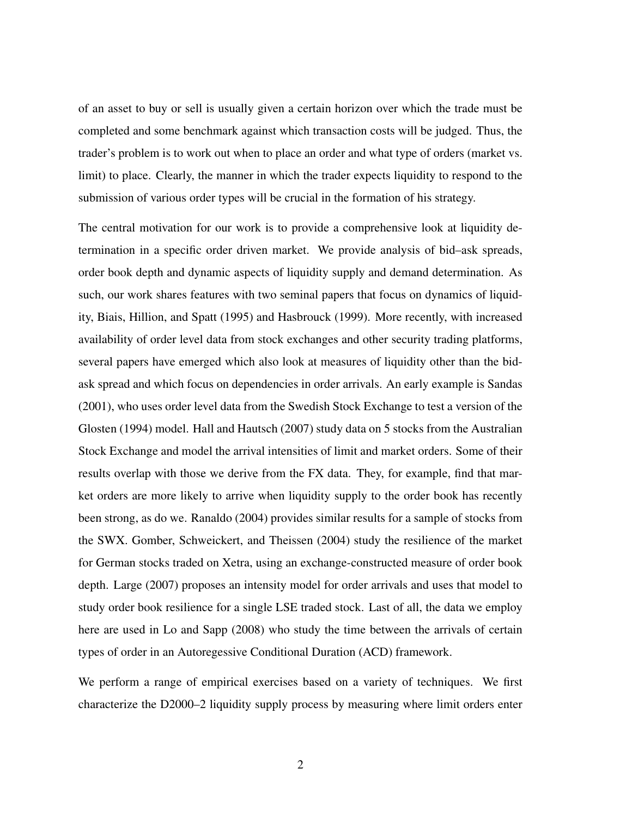of an asset to buy or sell is usually given a certain horizon over which the trade must be completed and some benchmark against which transaction costs will be judged. Thus, the trader's problem is to work out when to place an order and what type of orders (market vs. limit) to place. Clearly, the manner in which the trader expects liquidity to respond to the submission of various order types will be crucial in the formation of his strategy.

The central motivation for our work is to provide a comprehensive look at liquidity determination in a specific order driven market. We provide analysis of bid–ask spreads, order book depth and dynamic aspects of liquidity supply and demand determination. As such, our work shares features with two seminal papers that focus on dynamics of liquidity, Biais, Hillion, and Spatt (1995) and Hasbrouck (1999). More recently, with increased availability of order level data from stock exchanges and other security trading platforms, several papers have emerged which also look at measures of liquidity other than the bidask spread and which focus on dependencies in order arrivals. An early example is Sandas (2001), who uses order level data from the Swedish Stock Exchange to test a version of the Glosten (1994) model. Hall and Hautsch (2007) study data on 5 stocks from the Australian Stock Exchange and model the arrival intensities of limit and market orders. Some of their results overlap with those we derive from the FX data. They, for example, find that market orders are more likely to arrive when liquidity supply to the order book has recently been strong, as do we. Ranaldo (2004) provides similar results for a sample of stocks from the SWX. Gomber, Schweickert, and Theissen (2004) study the resilience of the market for German stocks traded on Xetra, using an exchange-constructed measure of order book depth. Large (2007) proposes an intensity model for order arrivals and uses that model to study order book resilience for a single LSE traded stock. Last of all, the data we employ here are used in Lo and Sapp (2008) who study the time between the arrivals of certain types of order in an Autoregessive Conditional Duration (ACD) framework.

We perform a range of empirical exercises based on a variety of techniques. We first characterize the D2000–2 liquidity supply process by measuring where limit orders enter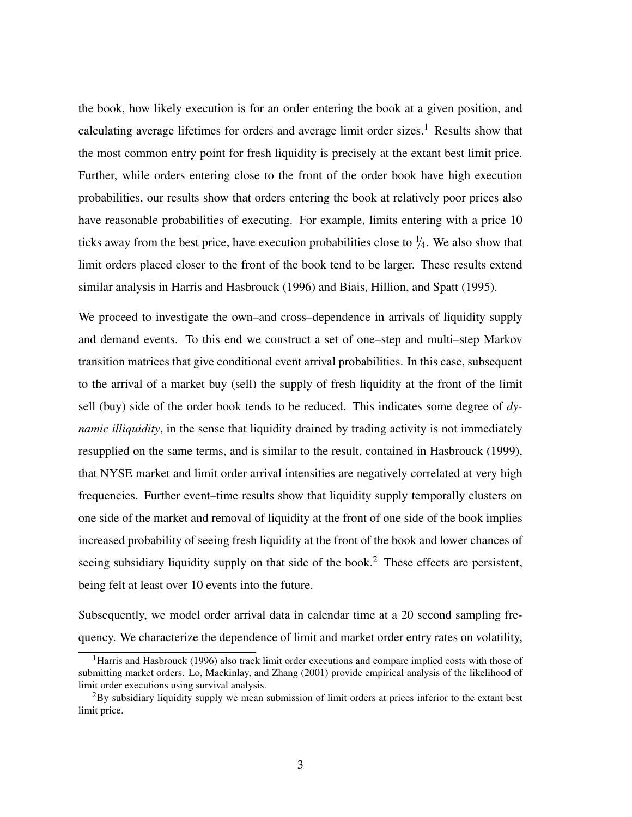the book, how likely execution is for an order entering the book at a given position, and calculating average lifetimes for orders and average limit order sizes.<sup>1</sup> Results show that the most common entry point for fresh liquidity is precisely at the extant best limit price. Further, while orders entering close to the front of the order book have high execution probabilities, our results show that orders entering the book at relatively poor prices also have reasonable probabilities of executing. For example, limits entering with a price 10 ticks away from the best price, have execution probabilities close to  $\frac{1}{4}$ . We also show that limit orders placed closer to the front of the book tend to be larger. These results extend similar analysis in Harris and Hasbrouck (1996) and Biais, Hillion, and Spatt (1995).

We proceed to investigate the own–and cross–dependence in arrivals of liquidity supply and demand events. To this end we construct a set of one–step and multi–step Markov transition matrices that give conditional event arrival probabilities. In this case, subsequent to the arrival of a market buy (sell) the supply of fresh liquidity at the front of the limit sell (buy) side of the order book tends to be reduced. This indicates some degree of *dynamic illiquidity*, in the sense that liquidity drained by trading activity is not immediately resupplied on the same terms, and is similar to the result, contained in Hasbrouck (1999), that NYSE market and limit order arrival intensities are negatively correlated at very high frequencies. Further event–time results show that liquidity supply temporally clusters on one side of the market and removal of liquidity at the front of one side of the book implies increased probability of seeing fresh liquidity at the front of the book and lower chances of seeing subsidiary liquidity supply on that side of the book.<sup>2</sup> These effects are persistent, being felt at least over 10 events into the future.

Subsequently, we model order arrival data in calendar time at a 20 second sampling frequency. We characterize the dependence of limit and market order entry rates on volatility,

<sup>&</sup>lt;sup>1</sup>Harris and Hasbrouck (1996) also track limit order executions and compare implied costs with those of submitting market orders. Lo, Mackinlay, and Zhang (2001) provide empirical analysis of the likelihood of limit order executions using survival analysis.

 ${}^{2}$ By subsidiary liquidity supply we mean submission of limit orders at prices inferior to the extant best limit price.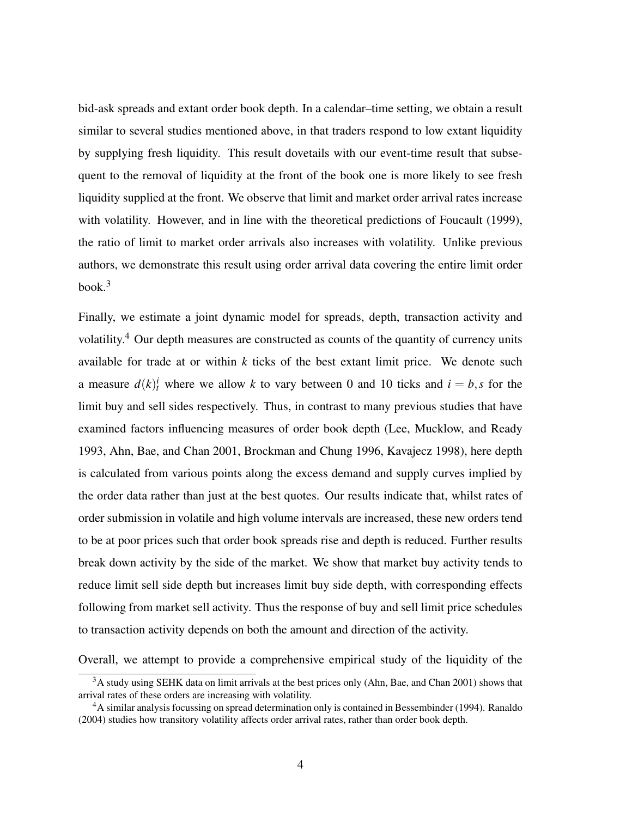bid-ask spreads and extant order book depth. In a calendar–time setting, we obtain a result similar to several studies mentioned above, in that traders respond to low extant liquidity by supplying fresh liquidity. This result dovetails with our event-time result that subsequent to the removal of liquidity at the front of the book one is more likely to see fresh liquidity supplied at the front. We observe that limit and market order arrival rates increase with volatility. However, and in line with the theoretical predictions of Foucault (1999), the ratio of limit to market order arrivals also increases with volatility. Unlike previous authors, we demonstrate this result using order arrival data covering the entire limit order  $book<sup>3</sup>$ 

Finally, we estimate a joint dynamic model for spreads, depth, transaction activity and volatility.<sup>4</sup> Our depth measures are constructed as counts of the quantity of currency units available for trade at or within *k* ticks of the best extant limit price. We denote such a measure  $d(k)_t^i$  where we allow k to vary between 0 and 10 ticks and  $i = b$ , s for the limit buy and sell sides respectively. Thus, in contrast to many previous studies that have examined factors influencing measures of order book depth (Lee, Mucklow, and Ready 1993, Ahn, Bae, and Chan 2001, Brockman and Chung 1996, Kavajecz 1998), here depth is calculated from various points along the excess demand and supply curves implied by the order data rather than just at the best quotes. Our results indicate that, whilst rates of order submission in volatile and high volume intervals are increased, these new orders tend to be at poor prices such that order book spreads rise and depth is reduced. Further results break down activity by the side of the market. We show that market buy activity tends to reduce limit sell side depth but increases limit buy side depth, with corresponding effects following from market sell activity. Thus the response of buy and sell limit price schedules to transaction activity depends on both the amount and direction of the activity.

Overall, we attempt to provide a comprehensive empirical study of the liquidity of the

<sup>&</sup>lt;sup>3</sup>A study using SEHK data on limit arrivals at the best prices only (Ahn, Bae, and Chan 2001) shows that arrival rates of these orders are increasing with volatility.

<sup>4</sup>A similar analysis focussing on spread determination only is contained in Bessembinder (1994). Ranaldo (2004) studies how transitory volatility affects order arrival rates, rather than order book depth.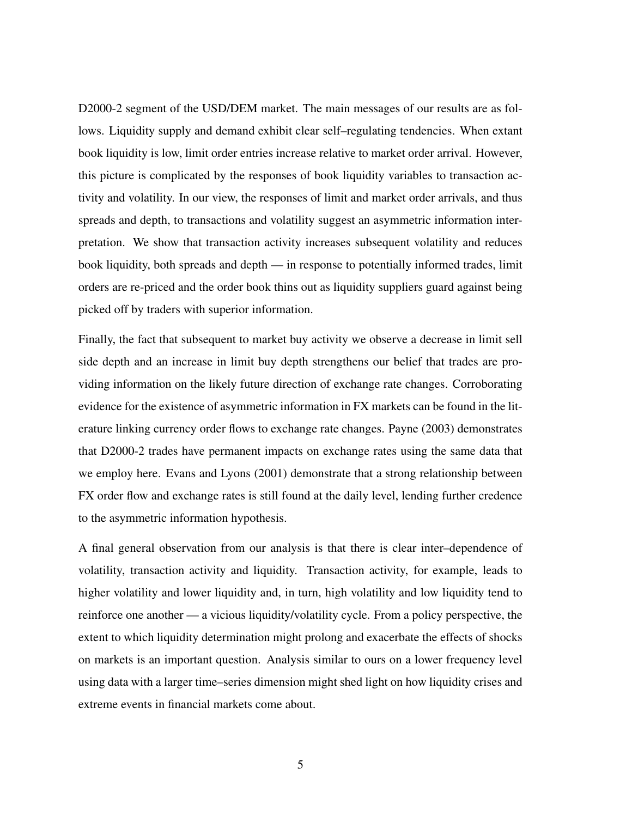D2000-2 segment of the USD/DEM market. The main messages of our results are as follows. Liquidity supply and demand exhibit clear self–regulating tendencies. When extant book liquidity is low, limit order entries increase relative to market order arrival. However, this picture is complicated by the responses of book liquidity variables to transaction activity and volatility. In our view, the responses of limit and market order arrivals, and thus spreads and depth, to transactions and volatility suggest an asymmetric information interpretation. We show that transaction activity increases subsequent volatility and reduces book liquidity, both spreads and depth — in response to potentially informed trades, limit orders are re-priced and the order book thins out as liquidity suppliers guard against being picked off by traders with superior information.

Finally, the fact that subsequent to market buy activity we observe a decrease in limit sell side depth and an increase in limit buy depth strengthens our belief that trades are providing information on the likely future direction of exchange rate changes. Corroborating evidence for the existence of asymmetric information in FX markets can be found in the literature linking currency order flows to exchange rate changes. Payne (2003) demonstrates that D2000-2 trades have permanent impacts on exchange rates using the same data that we employ here. Evans and Lyons (2001) demonstrate that a strong relationship between FX order flow and exchange rates is still found at the daily level, lending further credence to the asymmetric information hypothesis.

A final general observation from our analysis is that there is clear inter–dependence of volatility, transaction activity and liquidity. Transaction activity, for example, leads to higher volatility and lower liquidity and, in turn, high volatility and low liquidity tend to reinforce one another — a vicious liquidity/volatility cycle. From a policy perspective, the extent to which liquidity determination might prolong and exacerbate the effects of shocks on markets is an important question. Analysis similar to ours on a lower frequency level using data with a larger time–series dimension might shed light on how liquidity crises and extreme events in financial markets come about.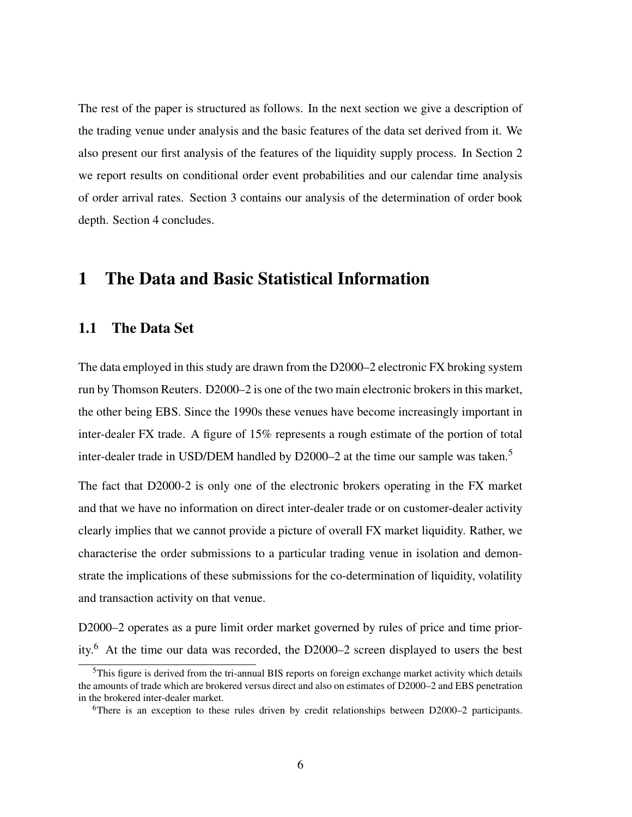The rest of the paper is structured as follows. In the next section we give a description of the trading venue under analysis and the basic features of the data set derived from it. We also present our first analysis of the features of the liquidity supply process. In Section 2 we report results on conditional order event probabilities and our calendar time analysis of order arrival rates. Section 3 contains our analysis of the determination of order book depth. Section 4 concludes.

## 1 The Data and Basic Statistical Information

#### 1.1 The Data Set

The data employed in this study are drawn from the D2000–2 electronic FX broking system run by Thomson Reuters. D2000–2 is one of the two main electronic brokers in this market, the other being EBS. Since the 1990s these venues have become increasingly important in inter-dealer FX trade. A figure of 15% represents a rough estimate of the portion of total inter-dealer trade in USD/DEM handled by D2000–2 at the time our sample was taken.<sup>5</sup>

The fact that D2000-2 is only one of the electronic brokers operating in the FX market and that we have no information on direct inter-dealer trade or on customer-dealer activity clearly implies that we cannot provide a picture of overall FX market liquidity. Rather, we characterise the order submissions to a particular trading venue in isolation and demonstrate the implications of these submissions for the co-determination of liquidity, volatility and transaction activity on that venue.

D2000–2 operates as a pure limit order market governed by rules of price and time priority.<sup>6</sup> At the time our data was recorded, the D2000–2 screen displayed to users the best

 $5$ This figure is derived from the tri-annual BIS reports on foreign exchange market activity which details the amounts of trade which are brokered versus direct and also on estimates of D2000–2 and EBS penetration in the brokered inter-dealer market.

 $6$ There is an exception to these rules driven by credit relationships between D2000–2 participants.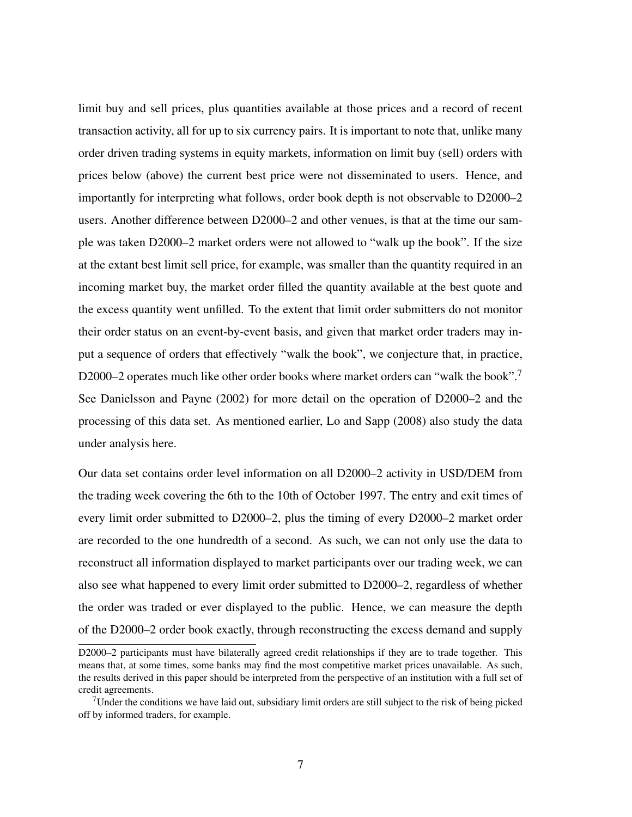limit buy and sell prices, plus quantities available at those prices and a record of recent transaction activity, all for up to six currency pairs. It is important to note that, unlike many order driven trading systems in equity markets, information on limit buy (sell) orders with prices below (above) the current best price were not disseminated to users. Hence, and importantly for interpreting what follows, order book depth is not observable to D2000–2 users. Another difference between D2000–2 and other venues, is that at the time our sample was taken D2000–2 market orders were not allowed to "walk up the book". If the size at the extant best limit sell price, for example, was smaller than the quantity required in an incoming market buy, the market order filled the quantity available at the best quote and the excess quantity went unfilled. To the extent that limit order submitters do not monitor their order status on an event-by-event basis, and given that market order traders may input a sequence of orders that effectively "walk the book", we conjecture that, in practice, D2000–2 operates much like other order books where market orders can "walk the book".<sup>7</sup> See Danielsson and Payne (2002) for more detail on the operation of D2000–2 and the processing of this data set. As mentioned earlier, Lo and Sapp (2008) also study the data under analysis here.

Our data set contains order level information on all D2000–2 activity in USD/DEM from the trading week covering the 6th to the 10th of October 1997. The entry and exit times of every limit order submitted to D2000–2, plus the timing of every D2000–2 market order are recorded to the one hundredth of a second. As such, we can not only use the data to reconstruct all information displayed to market participants over our trading week, we can also see what happened to every limit order submitted to D2000–2, regardless of whether the order was traded or ever displayed to the public. Hence, we can measure the depth of the D2000–2 order book exactly, through reconstructing the excess demand and supply

D2000–2 participants must have bilaterally agreed credit relationships if they are to trade together. This means that, at some times, some banks may find the most competitive market prices unavailable. As such, the results derived in this paper should be interpreted from the perspective of an institution with a full set of credit agreements.

Under the conditions we have laid out, subsidiary limit orders are still subject to the risk of being picked off by informed traders, for example.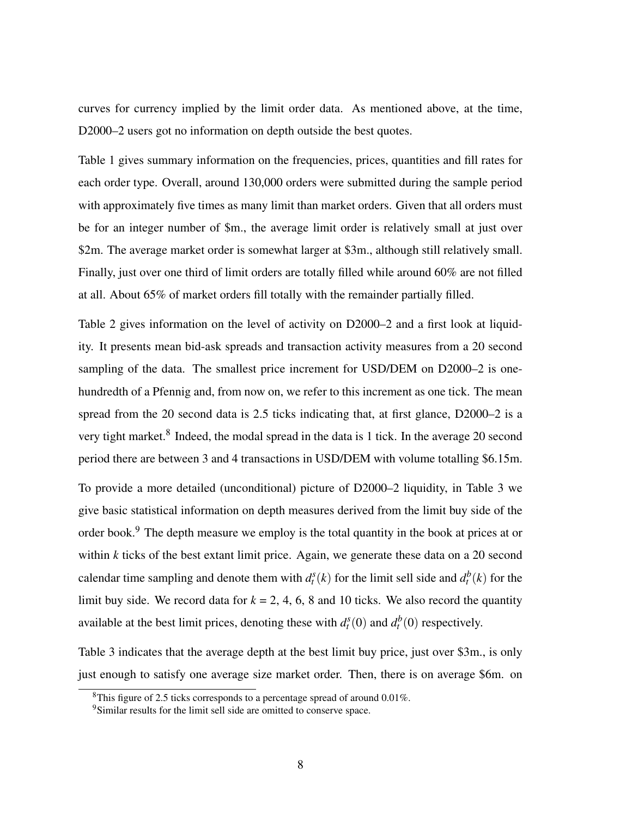curves for currency implied by the limit order data. As mentioned above, at the time, D2000–2 users got no information on depth outside the best quotes.

Table 1 gives summary information on the frequencies, prices, quantities and fill rates for each order type. Overall, around 130,000 orders were submitted during the sample period with approximately five times as many limit than market orders. Given that all orders must be for an integer number of \$m., the average limit order is relatively small at just over \$2m. The average market order is somewhat larger at \$3m., although still relatively small. Finally, just over one third of limit orders are totally filled while around 60% are not filled at all. About 65% of market orders fill totally with the remainder partially filled.

Table 2 gives information on the level of activity on D2000–2 and a first look at liquidity. It presents mean bid-ask spreads and transaction activity measures from a 20 second sampling of the data. The smallest price increment for USD/DEM on D2000–2 is onehundredth of a Pfennig and, from now on, we refer to this increment as one tick. The mean spread from the 20 second data is 2.5 ticks indicating that, at first glance, D2000–2 is a very tight market.<sup>8</sup> Indeed, the modal spread in the data is 1 tick. In the average 20 second period there are between 3 and 4 transactions in USD/DEM with volume totalling \$6.15m.

To provide a more detailed (unconditional) picture of D2000–2 liquidity, in Table 3 we give basic statistical information on depth measures derived from the limit buy side of the order book.<sup>9</sup> The depth measure we employ is the total quantity in the book at prices at or within *k* ticks of the best extant limit price. Again, we generate these data on a 20 second calendar time sampling and denote them with  $d_t^s(k)$  for the limit sell side and  $d_t^b(k)$  for the limit buy side. We record data for  $k = 2, 4, 6, 8$  and 10 ticks. We also record the quantity available at the best limit prices, denoting these with  $d_t^s(0)$  and  $d_t^b(0)$  respectively.

Table 3 indicates that the average depth at the best limit buy price, just over \$3m., is only just enough to satisfy one average size market order. Then, there is on average \$6m. on

<sup>&</sup>lt;sup>8</sup>This figure of 2.5 ticks corresponds to a percentage spread of around  $0.01\%$ .

<sup>9</sup>Similar results for the limit sell side are omitted to conserve space.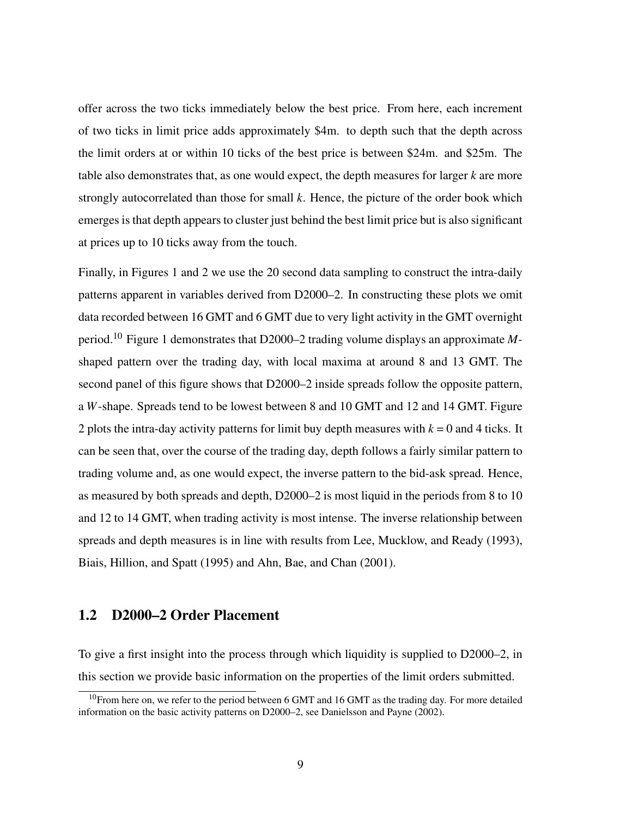offer across the two ticks immediately below the best price. From here, each increment of two ticks in limit price adds approximately \$4m. to depth such that the depth across the limit orders at or within 10 ticks of the best price is between \$24m. and \$25m. The table also demonstrates that, as one would expect, the depth measures for larger *k* are more strongly autocorrelated than those for small *k*. Hence, the picture of the order book which emerges is that depth appears to cluster just behind the best limit price but is also significant at prices up to 10 ticks away from the touch.

Finally, in Figures 1 and 2 we use the 20 second data sampling to construct the intra-daily patterns apparent in variables derived from D2000–2. In constructing these plots we omit data recorded between 16 GMT and 6 GMT due to very light activity in the GMT overnight period.<sup>10</sup> Figure 1 demonstrates that D2000–2 trading volume displays an approximate *M*shaped pattern over the trading day, with local maxima at around 8 and 13 GMT. The second panel of this figure shows that D2000–2 inside spreads follow the opposite pattern, a *W*-shape. Spreads tend to be lowest between 8 and 10 GMT and 12 and 14 GMT. Figure 2 plots the intra-day activity patterns for limit buy depth measures with  $k = 0$  and 4 ticks. It can be seen that, over the course of the trading day, depth follows a fairly similar pattern to trading volume and, as one would expect, the inverse pattern to the bid-ask spread. Hence, as measured by both spreads and depth, D2000–2 is most liquid in the periods from 8 to 10 and 12 to 14 GMT, when trading activity is most intense. The inverse relationship between spreads and depth measures is in line with results from Lee, Mucklow, and Ready (1993), Biais, Hillion, and Spatt (1995) and Ahn, Bae, and Chan (2001).

### 1.2 D2000–2 Order Placement

To give a first insight into the process through which liquidity is supplied to D2000–2, in this section we provide basic information on the properties of the limit orders submitted.

 $10$ From here on, we refer to the period between 6 GMT and 16 GMT as the trading day. For more detailed information on the basic activity patterns on D2000–2, see Danielsson and Payne (2002).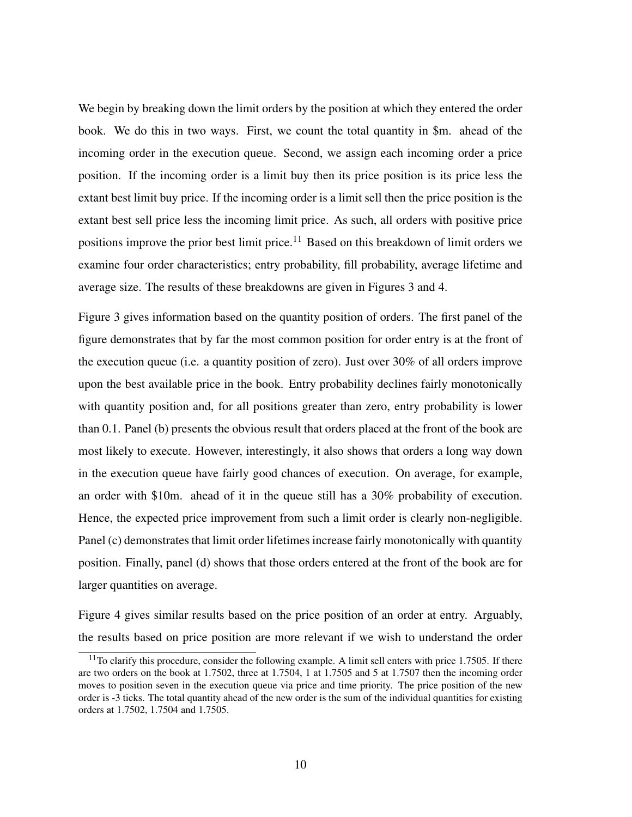We begin by breaking down the limit orders by the position at which they entered the order book. We do this in two ways. First, we count the total quantity in \$m. ahead of the incoming order in the execution queue. Second, we assign each incoming order a price position. If the incoming order is a limit buy then its price position is its price less the extant best limit buy price. If the incoming order is a limit sell then the price position is the extant best sell price less the incoming limit price. As such, all orders with positive price positions improve the prior best limit price.<sup>11</sup> Based on this breakdown of limit orders we examine four order characteristics; entry probability, fill probability, average lifetime and average size. The results of these breakdowns are given in Figures 3 and 4.

Figure 3 gives information based on the quantity position of orders. The first panel of the figure demonstrates that by far the most common position for order entry is at the front of the execution queue (i.e. a quantity position of zero). Just over 30% of all orders improve upon the best available price in the book. Entry probability declines fairly monotonically with quantity position and, for all positions greater than zero, entry probability is lower than 0.1. Panel (b) presents the obvious result that orders placed at the front of the book are most likely to execute. However, interestingly, it also shows that orders a long way down in the execution queue have fairly good chances of execution. On average, for example, an order with \$10m. ahead of it in the queue still has a 30% probability of execution. Hence, the expected price improvement from such a limit order is clearly non-negligible. Panel (c) demonstrates that limit order lifetimes increase fairly monotonically with quantity position. Finally, panel (d) shows that those orders entered at the front of the book are for larger quantities on average.

Figure 4 gives similar results based on the price position of an order at entry. Arguably, the results based on price position are more relevant if we wish to understand the order

 $11$ To clarify this procedure, consider the following example. A limit sell enters with price 1.7505. If there are two orders on the book at 1.7502, three at 1.7504, 1 at 1.7505 and 5 at 1.7507 then the incoming order moves to position seven in the execution queue via price and time priority. The price position of the new order is -3 ticks. The total quantity ahead of the new order is the sum of the individual quantities for existing orders at 1.7502, 1.7504 and 1.7505.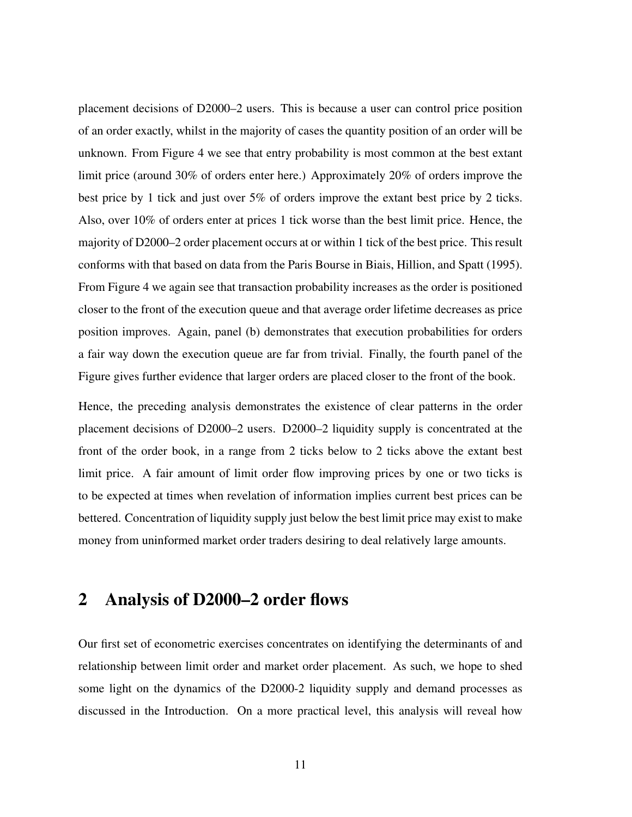placement decisions of D2000–2 users. This is because a user can control price position of an order exactly, whilst in the majority of cases the quantity position of an order will be unknown. From Figure 4 we see that entry probability is most common at the best extant limit price (around 30% of orders enter here.) Approximately 20% of orders improve the best price by 1 tick and just over 5% of orders improve the extant best price by 2 ticks. Also, over 10% of orders enter at prices 1 tick worse than the best limit price. Hence, the majority of D2000–2 order placement occurs at or within 1 tick of the best price. This result conforms with that based on data from the Paris Bourse in Biais, Hillion, and Spatt (1995). From Figure 4 we again see that transaction probability increases as the order is positioned closer to the front of the execution queue and that average order lifetime decreases as price position improves. Again, panel (b) demonstrates that execution probabilities for orders a fair way down the execution queue are far from trivial. Finally, the fourth panel of the Figure gives further evidence that larger orders are placed closer to the front of the book.

Hence, the preceding analysis demonstrates the existence of clear patterns in the order placement decisions of D2000–2 users. D2000–2 liquidity supply is concentrated at the front of the order book, in a range from 2 ticks below to 2 ticks above the extant best limit price. A fair amount of limit order flow improving prices by one or two ticks is to be expected at times when revelation of information implies current best prices can be bettered. Concentration of liquidity supply just below the best limit price may exist to make money from uninformed market order traders desiring to deal relatively large amounts.

## 2 Analysis of D2000–2 order flows

Our first set of econometric exercises concentrates on identifying the determinants of and relationship between limit order and market order placement. As such, we hope to shed some light on the dynamics of the D2000-2 liquidity supply and demand processes as discussed in the Introduction. On a more practical level, this analysis will reveal how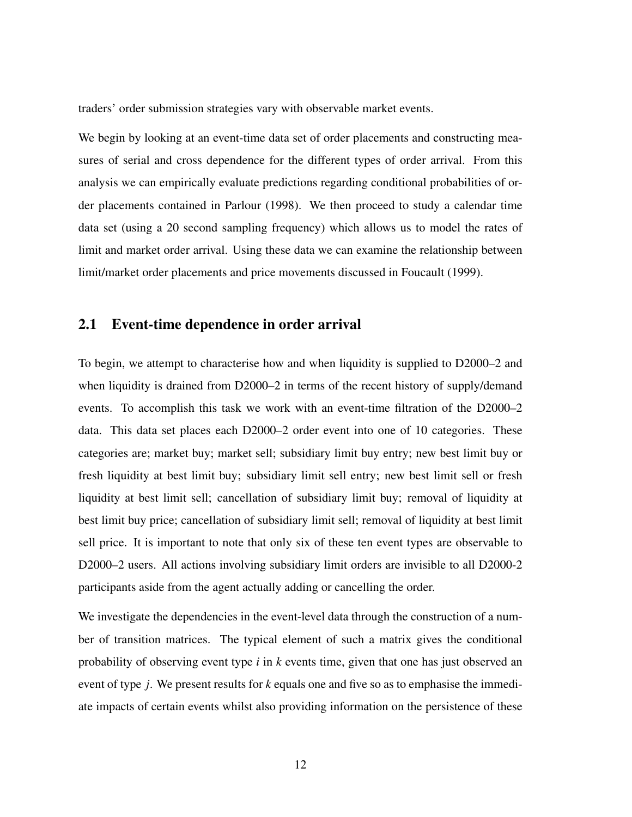traders' order submission strategies vary with observable market events.

We begin by looking at an event-time data set of order placements and constructing measures of serial and cross dependence for the different types of order arrival. From this analysis we can empirically evaluate predictions regarding conditional probabilities of order placements contained in Parlour (1998). We then proceed to study a calendar time data set (using a 20 second sampling frequency) which allows us to model the rates of limit and market order arrival. Using these data we can examine the relationship between limit/market order placements and price movements discussed in Foucault (1999).

#### 2.1 Event-time dependence in order arrival

To begin, we attempt to characterise how and when liquidity is supplied to D2000–2 and when liquidity is drained from D2000–2 in terms of the recent history of supply/demand events. To accomplish this task we work with an event-time filtration of the D2000–2 data. This data set places each D2000–2 order event into one of 10 categories. These categories are; market buy; market sell; subsidiary limit buy entry; new best limit buy or fresh liquidity at best limit buy; subsidiary limit sell entry; new best limit sell or fresh liquidity at best limit sell; cancellation of subsidiary limit buy; removal of liquidity at best limit buy price; cancellation of subsidiary limit sell; removal of liquidity at best limit sell price. It is important to note that only six of these ten event types are observable to D2000–2 users. All actions involving subsidiary limit orders are invisible to all D2000-2 participants aside from the agent actually adding or cancelling the order.

We investigate the dependencies in the event-level data through the construction of a number of transition matrices. The typical element of such a matrix gives the conditional probability of observing event type *i* in *k* events time, given that one has just observed an event of type *j*. We present results for *k* equals one and five so as to emphasise the immediate impacts of certain events whilst also providing information on the persistence of these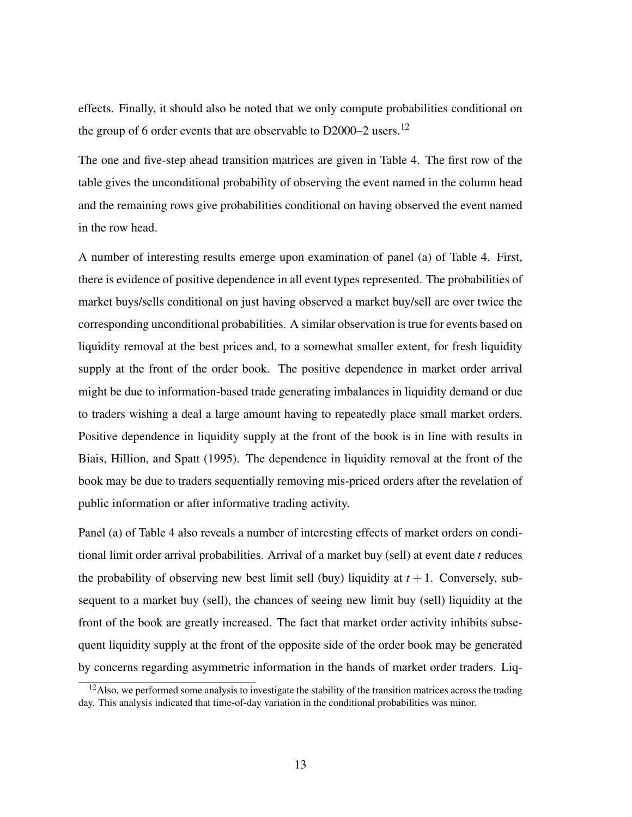effects. Finally, it should also be noted that we only compute probabilities conditional on the group of 6 order events that are observable to  $D2000-2$  users.<sup>12</sup>

The one and five-step ahead transition matrices are given in Table 4. The first row of the table gives the unconditional probability of observing the event named in the column head and the remaining rows give probabilities conditional on having observed the event named in the row head.

A number of interesting results emerge upon examination of panel (a) of Table 4. First, there is evidence of positive dependence in all event types represented. The probabilities of market buys/sells conditional on just having observed a market buy/sell are over twice the corresponding unconditional probabilities. A similar observation is true for events based on liquidity removal at the best prices and, to a somewhat smaller extent, for fresh liquidity supply at the front of the order book. The positive dependence in market order arrival might be due to information-based trade generating imbalances in liquidity demand or due to traders wishing a deal a large amount having to repeatedly place small market orders. Positive dependence in liquidity supply at the front of the book is in line with results in Biais, Hillion, and Spatt (1995). The dependence in liquidity removal at the front of the book may be due to traders sequentially removing mis-priced orders after the revelation of public information or after informative trading activity.

Panel (a) of Table 4 also reveals a number of interesting effects of market orders on conditional limit order arrival probabilities. Arrival of a market buy (sell) at event date *t* reduces the probability of observing new best limit sell (buy) liquidity at  $t + 1$ . Conversely, subsequent to a market buy (sell), the chances of seeing new limit buy (sell) liquidity at the front of the book are greatly increased. The fact that market order activity inhibits subsequent liquidity supply at the front of the opposite side of the order book may be generated by concerns regarding asymmetric information in the hands of market order traders. Liq-

 $12$ Also, we performed some analysis to investigate the stability of the transition matrices across the trading day. This analysis indicated that time-of-day variation in the conditional probabilities was minor.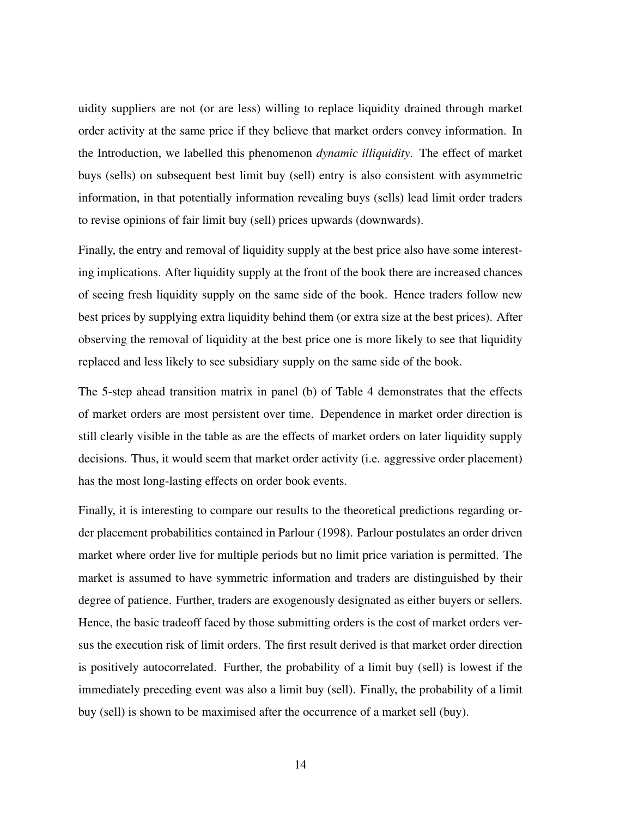uidity suppliers are not (or are less) willing to replace liquidity drained through market order activity at the same price if they believe that market orders convey information. In the Introduction, we labelled this phenomenon *dynamic illiquidity*. The effect of market buys (sells) on subsequent best limit buy (sell) entry is also consistent with asymmetric information, in that potentially information revealing buys (sells) lead limit order traders to revise opinions of fair limit buy (sell) prices upwards (downwards).

Finally, the entry and removal of liquidity supply at the best price also have some interesting implications. After liquidity supply at the front of the book there are increased chances of seeing fresh liquidity supply on the same side of the book. Hence traders follow new best prices by supplying extra liquidity behind them (or extra size at the best prices). After observing the removal of liquidity at the best price one is more likely to see that liquidity replaced and less likely to see subsidiary supply on the same side of the book.

The 5-step ahead transition matrix in panel (b) of Table 4 demonstrates that the effects of market orders are most persistent over time. Dependence in market order direction is still clearly visible in the table as are the effects of market orders on later liquidity supply decisions. Thus, it would seem that market order activity (i.e. aggressive order placement) has the most long-lasting effects on order book events.

Finally, it is interesting to compare our results to the theoretical predictions regarding order placement probabilities contained in Parlour (1998). Parlour postulates an order driven market where order live for multiple periods but no limit price variation is permitted. The market is assumed to have symmetric information and traders are distinguished by their degree of patience. Further, traders are exogenously designated as either buyers or sellers. Hence, the basic tradeoff faced by those submitting orders is the cost of market orders versus the execution risk of limit orders. The first result derived is that market order direction is positively autocorrelated. Further, the probability of a limit buy (sell) is lowest if the immediately preceding event was also a limit buy (sell). Finally, the probability of a limit buy (sell) is shown to be maximised after the occurrence of a market sell (buy).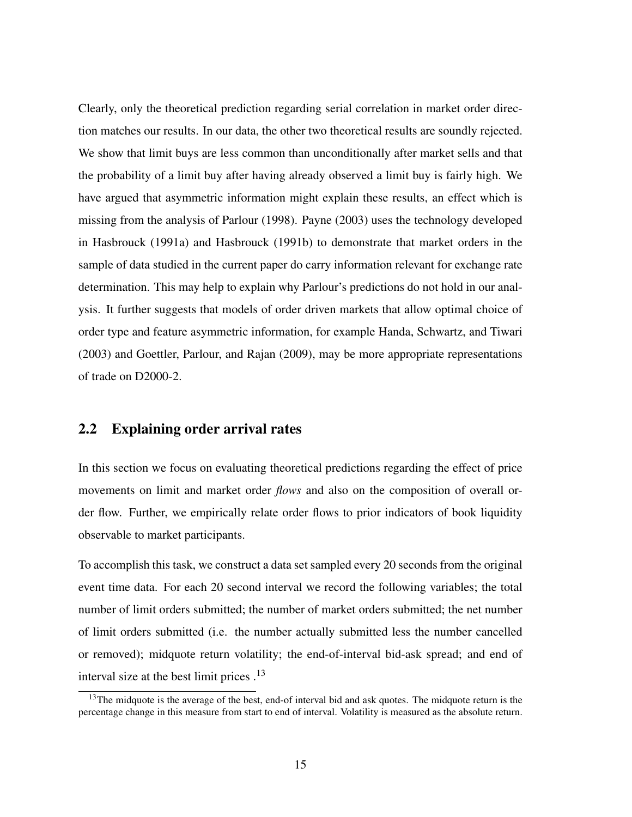Clearly, only the theoretical prediction regarding serial correlation in market order direction matches our results. In our data, the other two theoretical results are soundly rejected. We show that limit buys are less common than unconditionally after market sells and that the probability of a limit buy after having already observed a limit buy is fairly high. We have argued that asymmetric information might explain these results, an effect which is missing from the analysis of Parlour (1998). Payne (2003) uses the technology developed in Hasbrouck (1991a) and Hasbrouck (1991b) to demonstrate that market orders in the sample of data studied in the current paper do carry information relevant for exchange rate determination. This may help to explain why Parlour's predictions do not hold in our analysis. It further suggests that models of order driven markets that allow optimal choice of order type and feature asymmetric information, for example Handa, Schwartz, and Tiwari (2003) and Goettler, Parlour, and Rajan (2009), may be more appropriate representations of trade on D2000-2.

#### 2.2 Explaining order arrival rates

In this section we focus on evaluating theoretical predictions regarding the effect of price movements on limit and market order *flows* and also on the composition of overall order flow. Further, we empirically relate order flows to prior indicators of book liquidity observable to market participants.

To accomplish this task, we construct a data set sampled every 20 seconds from the original event time data. For each 20 second interval we record the following variables; the total number of limit orders submitted; the number of market orders submitted; the net number of limit orders submitted (i.e. the number actually submitted less the number cancelled or removed); midquote return volatility; the end-of-interval bid-ask spread; and end of interval size at the best limit prices .<sup>13</sup>

<sup>&</sup>lt;sup>13</sup>The midquote is the average of the best, end-of interval bid and ask quotes. The midquote return is the percentage change in this measure from start to end of interval. Volatility is measured as the absolute return.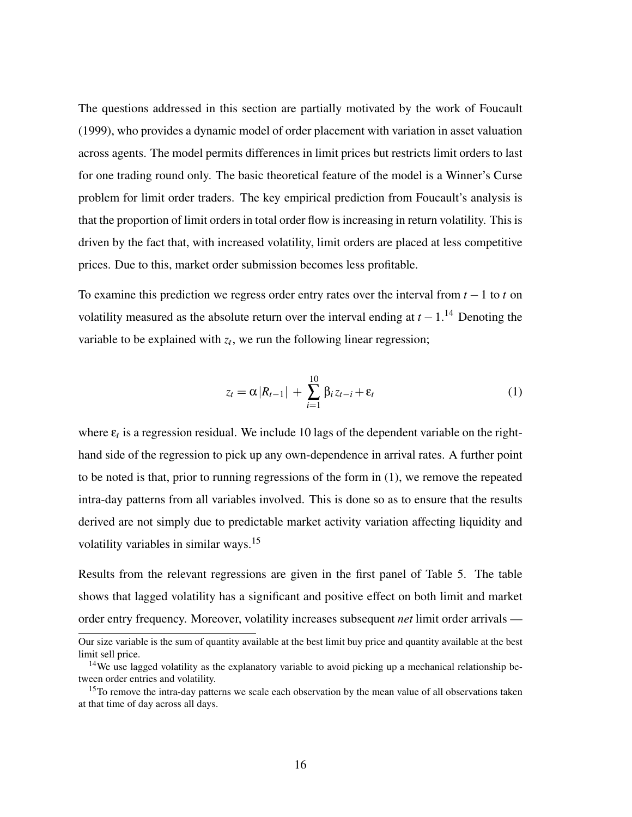The questions addressed in this section are partially motivated by the work of Foucault (1999), who provides a dynamic model of order placement with variation in asset valuation across agents. The model permits differences in limit prices but restricts limit orders to last for one trading round only. The basic theoretical feature of the model is a Winner's Curse problem for limit order traders. The key empirical prediction from Foucault's analysis is that the proportion of limit orders in total order flow is increasing in return volatility. This is driven by the fact that, with increased volatility, limit orders are placed at less competitive prices. Due to this, market order submission becomes less profitable.

To examine this prediction we regress order entry rates over the interval from *t* −1 to *t* on volatility measured as the absolute return over the interval ending at  $t - 1$ .<sup>14</sup> Denoting the variable to be explained with  $z_t$ , we run the following linear regression;

$$
z_t = \alpha |R_{t-1}| + \sum_{i=1}^{10} \beta_i z_{t-i} + \varepsilon_t \tag{1}
$$

where  $\varepsilon_t$  is a regression residual. We include 10 lags of the dependent variable on the righthand side of the regression to pick up any own-dependence in arrival rates. A further point to be noted is that, prior to running regressions of the form in (1), we remove the repeated intra-day patterns from all variables involved. This is done so as to ensure that the results derived are not simply due to predictable market activity variation affecting liquidity and volatility variables in similar ways.<sup>15</sup>

Results from the relevant regressions are given in the first panel of Table 5. The table shows that lagged volatility has a significant and positive effect on both limit and market order entry frequency. Moreover, volatility increases subsequent *net* limit order arrivals —

Our size variable is the sum of quantity available at the best limit buy price and quantity available at the best limit sell price.

<sup>&</sup>lt;sup>14</sup>We use lagged volatility as the explanatory variable to avoid picking up a mechanical relationship between order entries and volatility.

<sup>&</sup>lt;sup>15</sup>To remove the intra-day patterns we scale each observation by the mean value of all observations taken at that time of day across all days.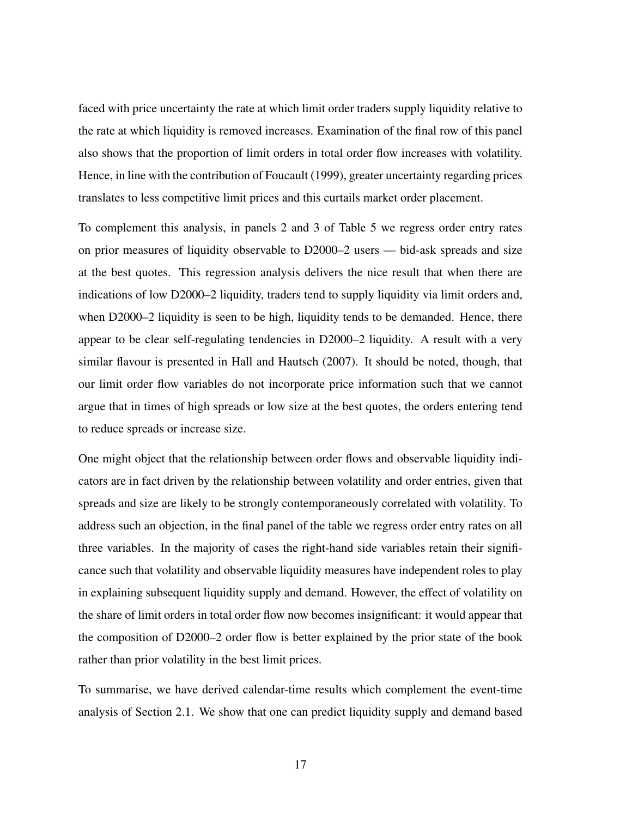faced with price uncertainty the rate at which limit order traders supply liquidity relative to the rate at which liquidity is removed increases. Examination of the final row of this panel also shows that the proportion of limit orders in total order flow increases with volatility. Hence, in line with the contribution of Foucault (1999), greater uncertainty regarding prices translates to less competitive limit prices and this curtails market order placement.

To complement this analysis, in panels 2 and 3 of Table 5 we regress order entry rates on prior measures of liquidity observable to D2000–2 users — bid-ask spreads and size at the best quotes. This regression analysis delivers the nice result that when there are indications of low D2000–2 liquidity, traders tend to supply liquidity via limit orders and, when D2000–2 liquidity is seen to be high, liquidity tends to be demanded. Hence, there appear to be clear self-regulating tendencies in D2000–2 liquidity. A result with a very similar flavour is presented in Hall and Hautsch (2007). It should be noted, though, that our limit order flow variables do not incorporate price information such that we cannot argue that in times of high spreads or low size at the best quotes, the orders entering tend to reduce spreads or increase size.

One might object that the relationship between order flows and observable liquidity indicators are in fact driven by the relationship between volatility and order entries, given that spreads and size are likely to be strongly contemporaneously correlated with volatility. To address such an objection, in the final panel of the table we regress order entry rates on all three variables. In the majority of cases the right-hand side variables retain their significance such that volatility and observable liquidity measures have independent roles to play in explaining subsequent liquidity supply and demand. However, the effect of volatility on the share of limit orders in total order flow now becomes insignificant: it would appear that the composition of D2000–2 order flow is better explained by the prior state of the book rather than prior volatility in the best limit prices.

To summarise, we have derived calendar-time results which complement the event-time analysis of Section 2.1. We show that one can predict liquidity supply and demand based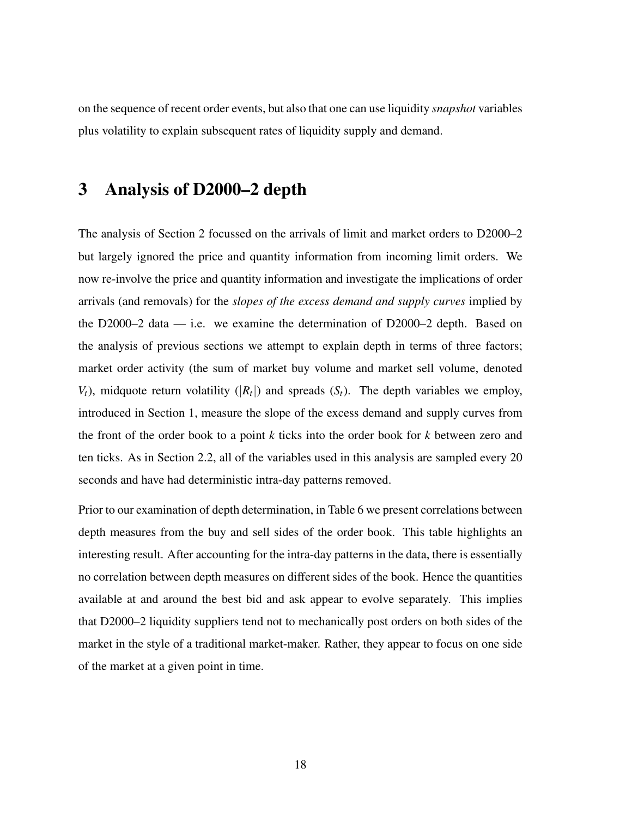on the sequence of recent order events, but also that one can use liquidity *snapshot* variables plus volatility to explain subsequent rates of liquidity supply and demand.

## 3 Analysis of D2000–2 depth

The analysis of Section 2 focussed on the arrivals of limit and market orders to D2000–2 but largely ignored the price and quantity information from incoming limit orders. We now re-involve the price and quantity information and investigate the implications of order arrivals (and removals) for the *slopes of the excess demand and supply curves* implied by the D2000–2 data — i.e. we examine the determination of D2000–2 depth. Based on the analysis of previous sections we attempt to explain depth in terms of three factors; market order activity (the sum of market buy volume and market sell volume, denoted  $V_t$ ), midquote return volatility ( $|R_t|$ ) and spreads ( $S_t$ ). The depth variables we employ, introduced in Section 1, measure the slope of the excess demand and supply curves from the front of the order book to a point *k* ticks into the order book for *k* between zero and ten ticks. As in Section 2.2, all of the variables used in this analysis are sampled every 20 seconds and have had deterministic intra-day patterns removed.

Prior to our examination of depth determination, in Table 6 we present correlations between depth measures from the buy and sell sides of the order book. This table highlights an interesting result. After accounting for the intra-day patterns in the data, there is essentially no correlation between depth measures on different sides of the book. Hence the quantities available at and around the best bid and ask appear to evolve separately. This implies that D2000–2 liquidity suppliers tend not to mechanically post orders on both sides of the market in the style of a traditional market-maker. Rather, they appear to focus on one side of the market at a given point in time.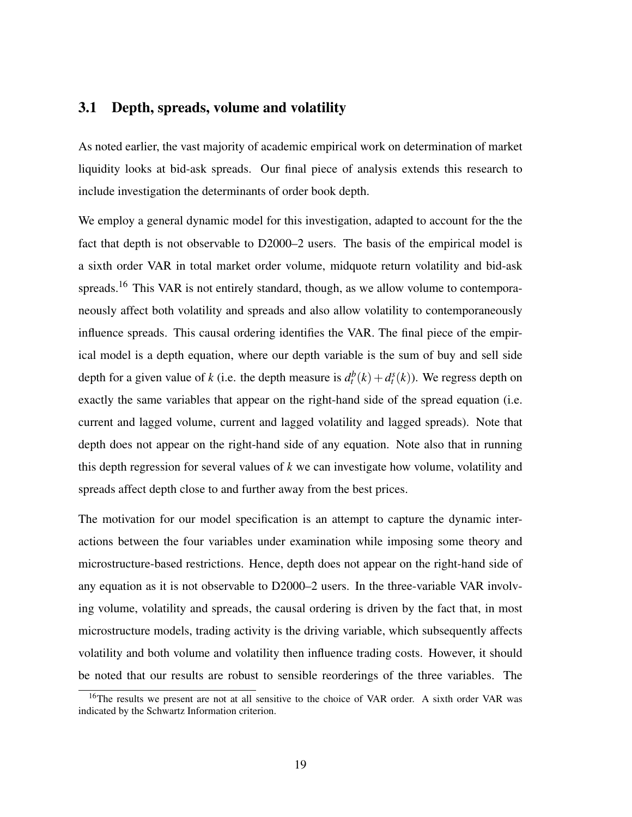### 3.1 Depth, spreads, volume and volatility

As noted earlier, the vast majority of academic empirical work on determination of market liquidity looks at bid-ask spreads. Our final piece of analysis extends this research to include investigation the determinants of order book depth.

We employ a general dynamic model for this investigation, adapted to account for the the fact that depth is not observable to D2000–2 users. The basis of the empirical model is a sixth order VAR in total market order volume, midquote return volatility and bid-ask spreads.<sup>16</sup> This VAR is not entirely standard, though, as we allow volume to contemporaneously affect both volatility and spreads and also allow volatility to contemporaneously influence spreads. This causal ordering identifies the VAR. The final piece of the empirical model is a depth equation, where our depth variable is the sum of buy and sell side depth for a given value of *k* (i.e. the depth measure is  $d_t^b(k) + d_t^s(k)$ ). We regress depth on exactly the same variables that appear on the right-hand side of the spread equation (i.e. current and lagged volume, current and lagged volatility and lagged spreads). Note that depth does not appear on the right-hand side of any equation. Note also that in running this depth regression for several values of *k* we can investigate how volume, volatility and spreads affect depth close to and further away from the best prices.

The motivation for our model specification is an attempt to capture the dynamic interactions between the four variables under examination while imposing some theory and microstructure-based restrictions. Hence, depth does not appear on the right-hand side of any equation as it is not observable to D2000–2 users. In the three-variable VAR involving volume, volatility and spreads, the causal ordering is driven by the fact that, in most microstructure models, trading activity is the driving variable, which subsequently affects volatility and both volume and volatility then influence trading costs. However, it should be noted that our results are robust to sensible reorderings of the three variables. The

<sup>&</sup>lt;sup>16</sup>The results we present are not at all sensitive to the choice of VAR order. A sixth order VAR was indicated by the Schwartz Information criterion.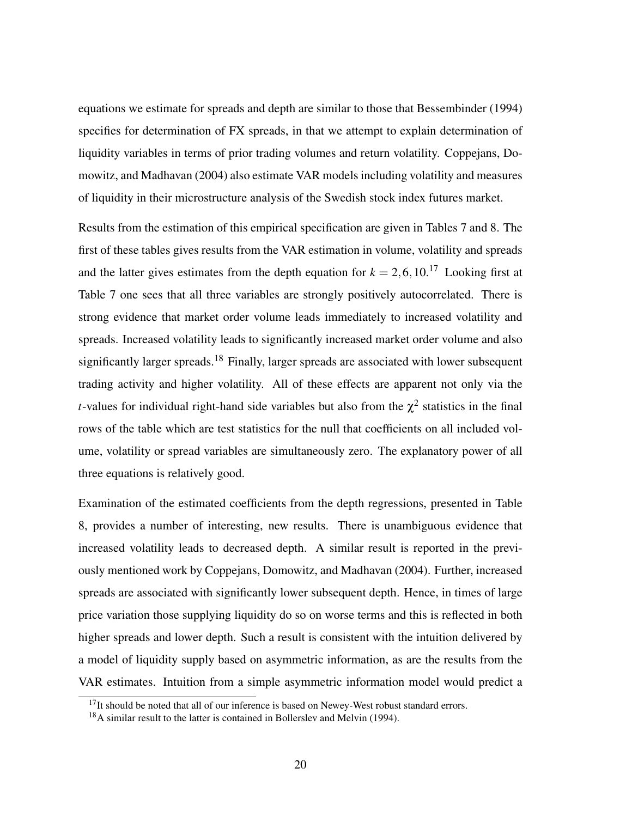equations we estimate for spreads and depth are similar to those that Bessembinder (1994) specifies for determination of FX spreads, in that we attempt to explain determination of liquidity variables in terms of prior trading volumes and return volatility. Coppejans, Domowitz, and Madhavan (2004) also estimate VAR models including volatility and measures of liquidity in their microstructure analysis of the Swedish stock index futures market.

Results from the estimation of this empirical specification are given in Tables 7 and 8. The first of these tables gives results from the VAR estimation in volume, volatility and spreads and the latter gives estimates from the depth equation for  $k = 2, 6, 10$ .<sup>17</sup> Looking first at Table 7 one sees that all three variables are strongly positively autocorrelated. There is strong evidence that market order volume leads immediately to increased volatility and spreads. Increased volatility leads to significantly increased market order volume and also significantly larger spreads.<sup>18</sup> Finally, larger spreads are associated with lower subsequent trading activity and higher volatility. All of these effects are apparent not only via the *t*-values for individual right-hand side variables but also from the  $\chi^2$  statistics in the final rows of the table which are test statistics for the null that coefficients on all included volume, volatility or spread variables are simultaneously zero. The explanatory power of all three equations is relatively good.

Examination of the estimated coefficients from the depth regressions, presented in Table 8, provides a number of interesting, new results. There is unambiguous evidence that increased volatility leads to decreased depth. A similar result is reported in the previously mentioned work by Coppejans, Domowitz, and Madhavan (2004). Further, increased spreads are associated with significantly lower subsequent depth. Hence, in times of large price variation those supplying liquidity do so on worse terms and this is reflected in both higher spreads and lower depth. Such a result is consistent with the intuition delivered by a model of liquidity supply based on asymmetric information, as are the results from the VAR estimates. Intuition from a simple asymmetric information model would predict a

 $17$ It should be noted that all of our inference is based on Newey-West robust standard errors.

<sup>&</sup>lt;sup>18</sup>A similar result to the latter is contained in Bollerslev and Melvin (1994).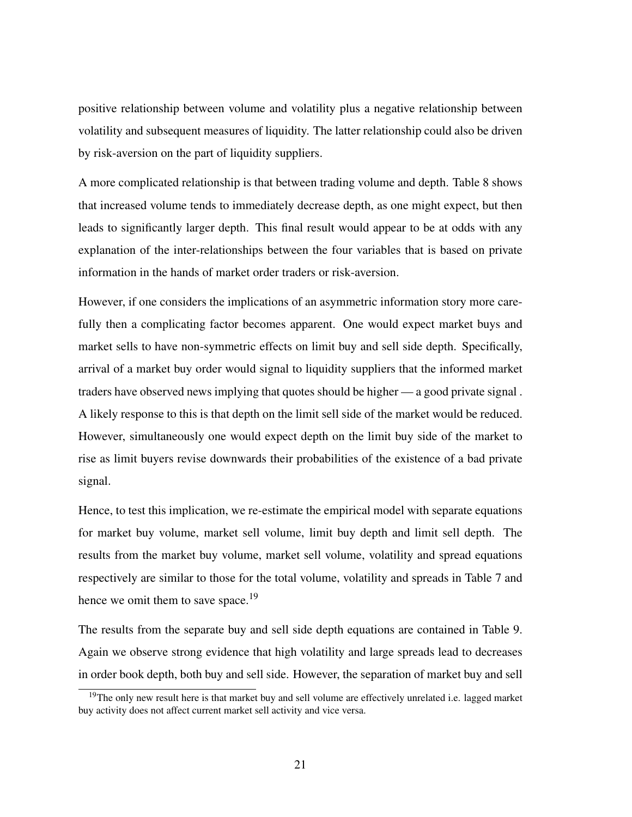positive relationship between volume and volatility plus a negative relationship between volatility and subsequent measures of liquidity. The latter relationship could also be driven by risk-aversion on the part of liquidity suppliers.

A more complicated relationship is that between trading volume and depth. Table 8 shows that increased volume tends to immediately decrease depth, as one might expect, but then leads to significantly larger depth. This final result would appear to be at odds with any explanation of the inter-relationships between the four variables that is based on private information in the hands of market order traders or risk-aversion.

However, if one considers the implications of an asymmetric information story more carefully then a complicating factor becomes apparent. One would expect market buys and market sells to have non-symmetric effects on limit buy and sell side depth. Specifically, arrival of a market buy order would signal to liquidity suppliers that the informed market traders have observed news implying that quotes should be higher — a good private signal . A likely response to this is that depth on the limit sell side of the market would be reduced. However, simultaneously one would expect depth on the limit buy side of the market to rise as limit buyers revise downwards their probabilities of the existence of a bad private signal.

Hence, to test this implication, we re-estimate the empirical model with separate equations for market buy volume, market sell volume, limit buy depth and limit sell depth. The results from the market buy volume, market sell volume, volatility and spread equations respectively are similar to those for the total volume, volatility and spreads in Table 7 and hence we omit them to save space.<sup>19</sup>

The results from the separate buy and sell side depth equations are contained in Table 9. Again we observe strong evidence that high volatility and large spreads lead to decreases in order book depth, both buy and sell side. However, the separation of market buy and sell

 $19$ The only new result here is that market buy and sell volume are effectively unrelated i.e. lagged market buy activity does not affect current market sell activity and vice versa.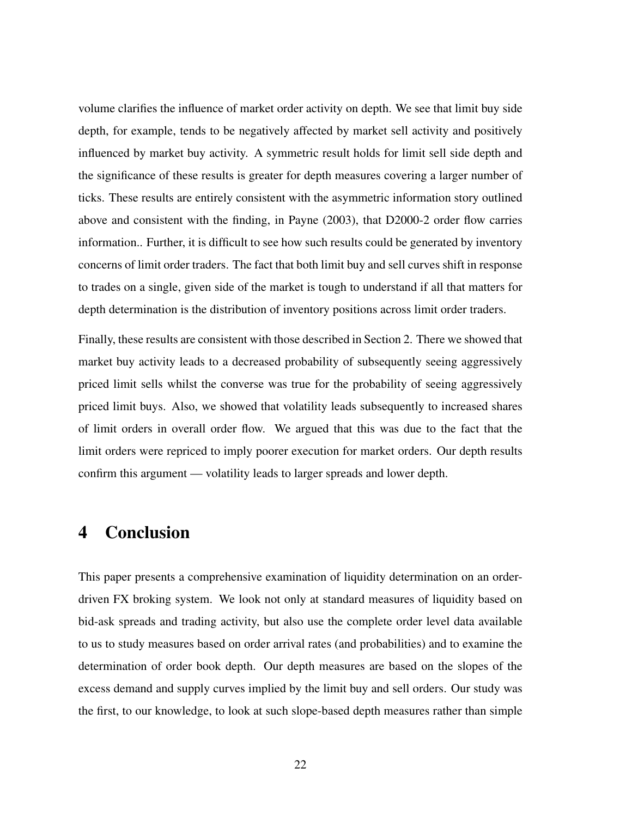volume clarifies the influence of market order activity on depth. We see that limit buy side depth, for example, tends to be negatively affected by market sell activity and positively influenced by market buy activity. A symmetric result holds for limit sell side depth and the significance of these results is greater for depth measures covering a larger number of ticks. These results are entirely consistent with the asymmetric information story outlined above and consistent with the finding, in Payne (2003), that D2000-2 order flow carries information.. Further, it is difficult to see how such results could be generated by inventory concerns of limit order traders. The fact that both limit buy and sell curves shift in response to trades on a single, given side of the market is tough to understand if all that matters for depth determination is the distribution of inventory positions across limit order traders.

Finally, these results are consistent with those described in Section 2. There we showed that market buy activity leads to a decreased probability of subsequently seeing aggressively priced limit sells whilst the converse was true for the probability of seeing aggressively priced limit buys. Also, we showed that volatility leads subsequently to increased shares of limit orders in overall order flow. We argued that this was due to the fact that the limit orders were repriced to imply poorer execution for market orders. Our depth results confirm this argument — volatility leads to larger spreads and lower depth.

## 4 Conclusion

This paper presents a comprehensive examination of liquidity determination on an orderdriven FX broking system. We look not only at standard measures of liquidity based on bid-ask spreads and trading activity, but also use the complete order level data available to us to study measures based on order arrival rates (and probabilities) and to examine the determination of order book depth. Our depth measures are based on the slopes of the excess demand and supply curves implied by the limit buy and sell orders. Our study was the first, to our knowledge, to look at such slope-based depth measures rather than simple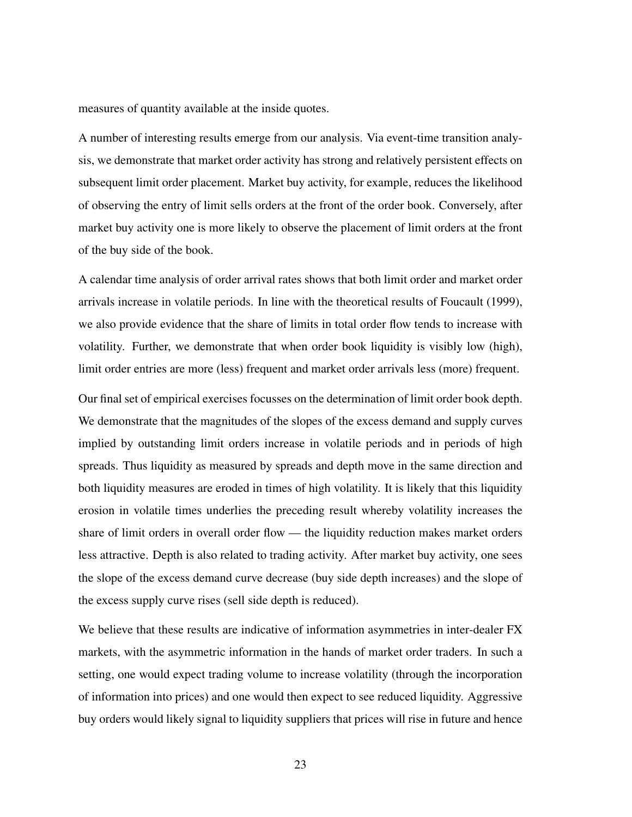measures of quantity available at the inside quotes.

A number of interesting results emerge from our analysis. Via event-time transition analysis, we demonstrate that market order activity has strong and relatively persistent effects on subsequent limit order placement. Market buy activity, for example, reduces the likelihood of observing the entry of limit sells orders at the front of the order book. Conversely, after market buy activity one is more likely to observe the placement of limit orders at the front of the buy side of the book.

A calendar time analysis of order arrival rates shows that both limit order and market order arrivals increase in volatile periods. In line with the theoretical results of Foucault (1999), we also provide evidence that the share of limits in total order flow tends to increase with volatility. Further, we demonstrate that when order book liquidity is visibly low (high), limit order entries are more (less) frequent and market order arrivals less (more) frequent.

Our final set of empirical exercises focusses on the determination of limit order book depth. We demonstrate that the magnitudes of the slopes of the excess demand and supply curves implied by outstanding limit orders increase in volatile periods and in periods of high spreads. Thus liquidity as measured by spreads and depth move in the same direction and both liquidity measures are eroded in times of high volatility. It is likely that this liquidity erosion in volatile times underlies the preceding result whereby volatility increases the share of limit orders in overall order flow — the liquidity reduction makes market orders less attractive. Depth is also related to trading activity. After market buy activity, one sees the slope of the excess demand curve decrease (buy side depth increases) and the slope of the excess supply curve rises (sell side depth is reduced).

We believe that these results are indicative of information asymmetries in inter-dealer FX markets, with the asymmetric information in the hands of market order traders. In such a setting, one would expect trading volume to increase volatility (through the incorporation of information into prices) and one would then expect to see reduced liquidity. Aggressive buy orders would likely signal to liquidity suppliers that prices will rise in future and hence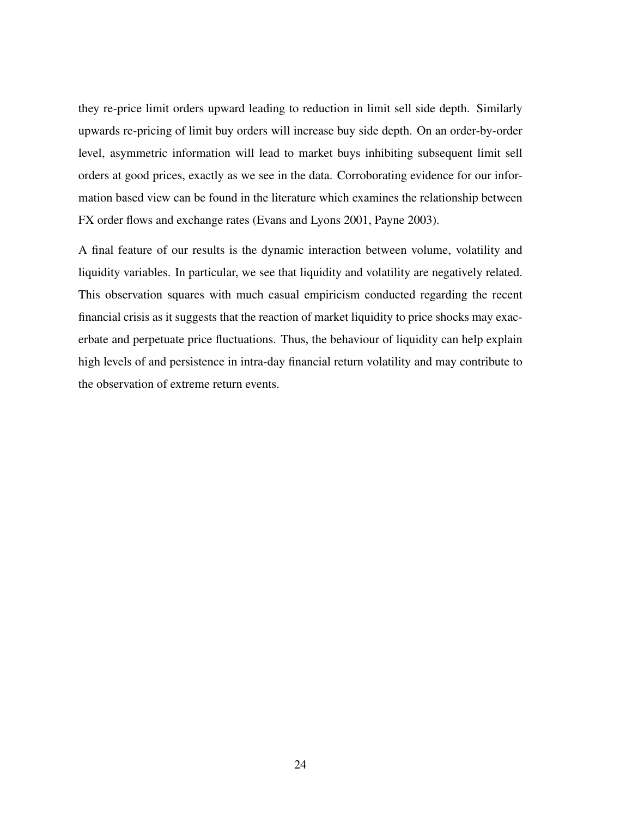they re-price limit orders upward leading to reduction in limit sell side depth. Similarly upwards re-pricing of limit buy orders will increase buy side depth. On an order-by-order level, asymmetric information will lead to market buys inhibiting subsequent limit sell orders at good prices, exactly as we see in the data. Corroborating evidence for our information based view can be found in the literature which examines the relationship between FX order flows and exchange rates (Evans and Lyons 2001, Payne 2003).

A final feature of our results is the dynamic interaction between volume, volatility and liquidity variables. In particular, we see that liquidity and volatility are negatively related. This observation squares with much casual empiricism conducted regarding the recent financial crisis as it suggests that the reaction of market liquidity to price shocks may exacerbate and perpetuate price fluctuations. Thus, the behaviour of liquidity can help explain high levels of and persistence in intra-day financial return volatility and may contribute to the observation of extreme return events.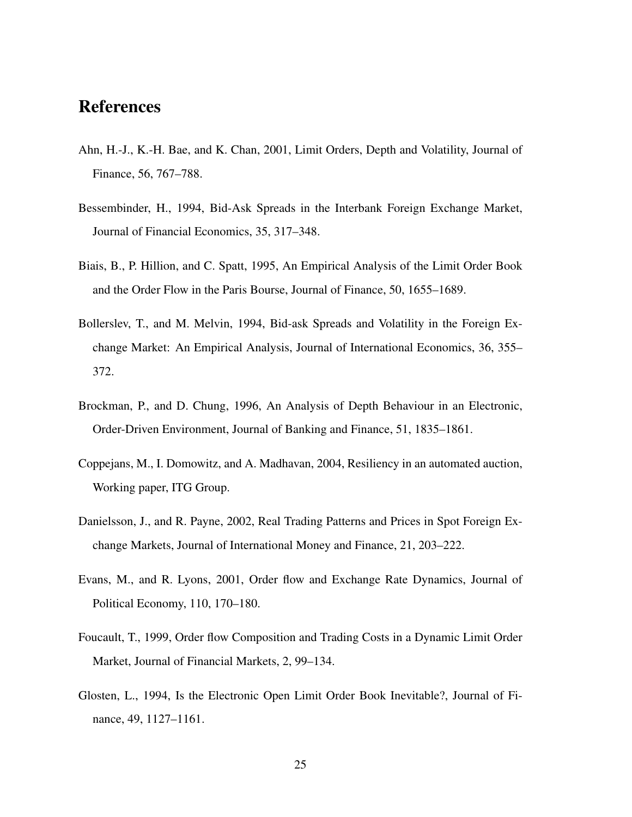## References

- Ahn, H.-J., K.-H. Bae, and K. Chan, 2001, Limit Orders, Depth and Volatility, Journal of Finance, 56, 767–788.
- Bessembinder, H., 1994, Bid-Ask Spreads in the Interbank Foreign Exchange Market, Journal of Financial Economics, 35, 317–348.
- Biais, B., P. Hillion, and C. Spatt, 1995, An Empirical Analysis of the Limit Order Book and the Order Flow in the Paris Bourse, Journal of Finance, 50, 1655–1689.
- Bollerslev, T., and M. Melvin, 1994, Bid-ask Spreads and Volatility in the Foreign Exchange Market: An Empirical Analysis, Journal of International Economics, 36, 355– 372.
- Brockman, P., and D. Chung, 1996, An Analysis of Depth Behaviour in an Electronic, Order-Driven Environment, Journal of Banking and Finance, 51, 1835–1861.
- Coppejans, M., I. Domowitz, and A. Madhavan, 2004, Resiliency in an automated auction, Working paper, ITG Group.
- Danielsson, J., and R. Payne, 2002, Real Trading Patterns and Prices in Spot Foreign Exchange Markets, Journal of International Money and Finance, 21, 203–222.
- Evans, M., and R. Lyons, 2001, Order flow and Exchange Rate Dynamics, Journal of Political Economy, 110, 170–180.
- Foucault, T., 1999, Order flow Composition and Trading Costs in a Dynamic Limit Order Market, Journal of Financial Markets, 2, 99–134.
- Glosten, L., 1994, Is the Electronic Open Limit Order Book Inevitable?, Journal of Finance, 49, 1127–1161.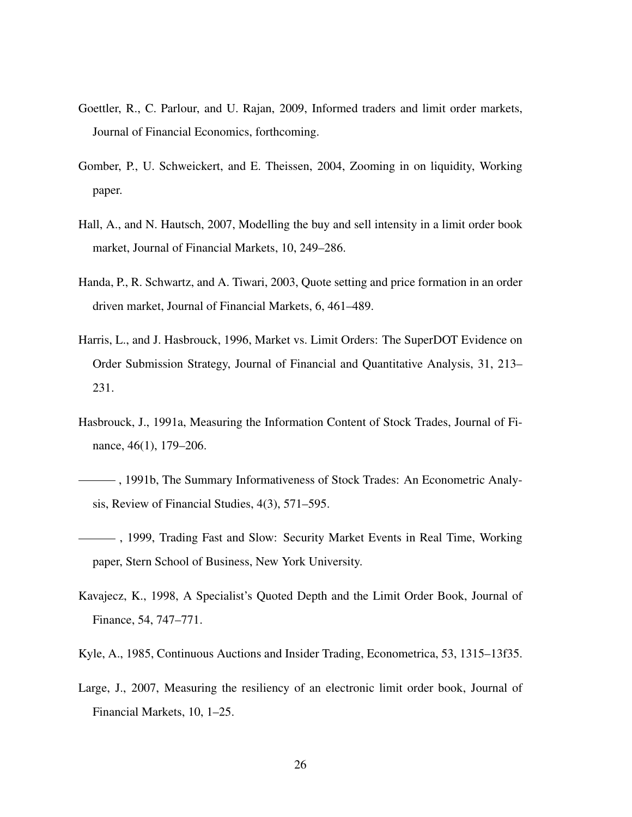- Goettler, R., C. Parlour, and U. Rajan, 2009, Informed traders and limit order markets, Journal of Financial Economics, forthcoming.
- Gomber, P., U. Schweickert, and E. Theissen, 2004, Zooming in on liquidity, Working paper.
- Hall, A., and N. Hautsch, 2007, Modelling the buy and sell intensity in a limit order book market, Journal of Financial Markets, 10, 249–286.
- Handa, P., R. Schwartz, and A. Tiwari, 2003, Quote setting and price formation in an order driven market, Journal of Financial Markets, 6, 461–489.
- Harris, L., and J. Hasbrouck, 1996, Market vs. Limit Orders: The SuperDOT Evidence on Order Submission Strategy, Journal of Financial and Quantitative Analysis, 31, 213– 231.
- Hasbrouck, J., 1991a, Measuring the Information Content of Stock Trades, Journal of Finance, 46(1), 179–206.
- , 1991b, The Summary Informativeness of Stock Trades: An Econometric Analysis, Review of Financial Studies, 4(3), 571–595.
- , 1999, Trading Fast and Slow: Security Market Events in Real Time, Working paper, Stern School of Business, New York University.
- Kavajecz, K., 1998, A Specialist's Quoted Depth and the Limit Order Book, Journal of Finance, 54, 747–771.
- Kyle, A., 1985, Continuous Auctions and Insider Trading, Econometrica, 53, 1315–13f35.
- Large, J., 2007, Measuring the resiliency of an electronic limit order book, Journal of Financial Markets, 10, 1–25.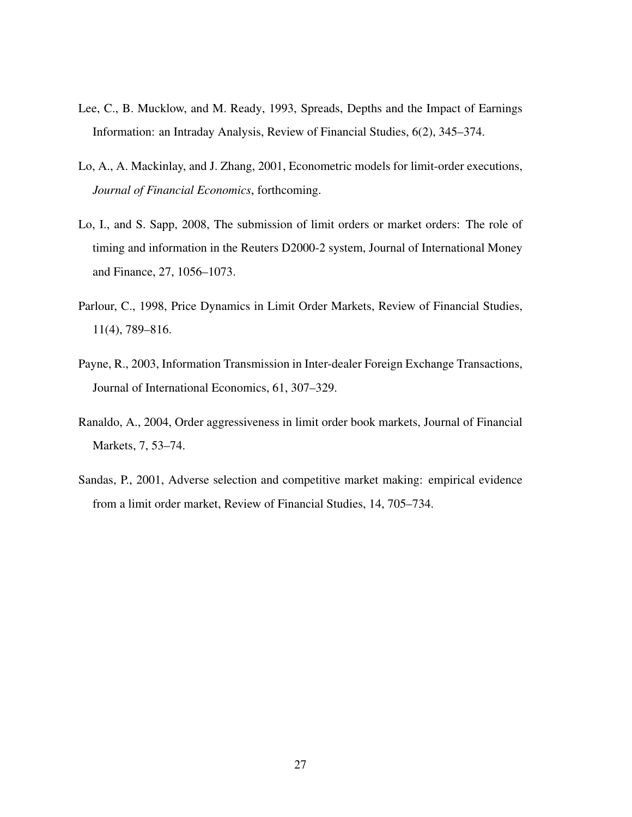- Lee, C., B. Mucklow, and M. Ready, 1993, Spreads, Depths and the Impact of Earnings Information: an Intraday Analysis, Review of Financial Studies, 6(2), 345–374.
- Lo, A., A. Mackinlay, and J. Zhang, 2001, Econometric models for limit-order executions, *Journal of Financial Economics*, forthcoming.
- Lo, I., and S. Sapp, 2008, The submission of limit orders or market orders: The role of timing and information in the Reuters D2000-2 system, Journal of International Money and Finance, 27, 1056–1073.
- Parlour, C., 1998, Price Dynamics in Limit Order Markets, Review of Financial Studies, 11(4), 789–816.
- Payne, R., 2003, Information Transmission in Inter-dealer Foreign Exchange Transactions, Journal of International Economics, 61, 307–329.
- Ranaldo, A., 2004, Order aggressiveness in limit order book markets, Journal of Financial Markets, 7, 53–74.
- Sandas, P., 2001, Adverse selection and competitive market making: empirical evidence from a limit order market, Review of Financial Studies, 14, 705–734.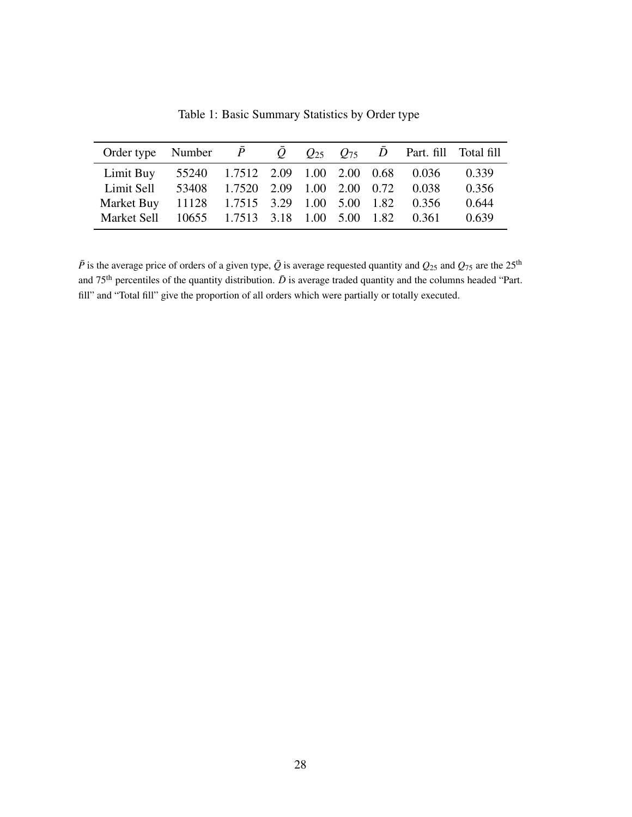| Order type Number $\overline{P}$ $\overline{Q}$ $Q_{25}$ $Q_{75}$ $\overline{D}$ Part. fill Total fill |                                        |                                        |  |  |                                        |       |
|--------------------------------------------------------------------------------------------------------|----------------------------------------|----------------------------------------|--|--|----------------------------------------|-------|
| Limit Buy                                                                                              |                                        |                                        |  |  | 55240 1.7512 2.09 1.00 2.00 0.68 0.036 | 0.339 |
| Limit Sell                                                                                             |                                        | 53408 1.7520 2.09 1.00 2.00 0.72 0.038 |  |  |                                        | 0.356 |
| Market Buy                                                                                             | 11128 1.7515 3.29 1.00 5.00 1.82 0.356 |                                        |  |  |                                        | 0.644 |
| Market Sell 10655 1.7513 3.18 1.00 5.00 1.82 0.361                                                     |                                        |                                        |  |  |                                        | 0.639 |

Table 1: Basic Summary Statistics by Order type

 $\bar{P}$  is the average price of orders of a given type,  $\bar{Q}$  is average requested quantity and  $Q_{25}$  and  $Q_{75}$  are the 25<sup>th</sup> and 75<sup>th</sup> percentiles of the quantity distribution.  $\bar{D}$  is average traded quantity and the columns headed "Part. fill" and "Total fill" give the proportion of all orders which were partially or totally executed.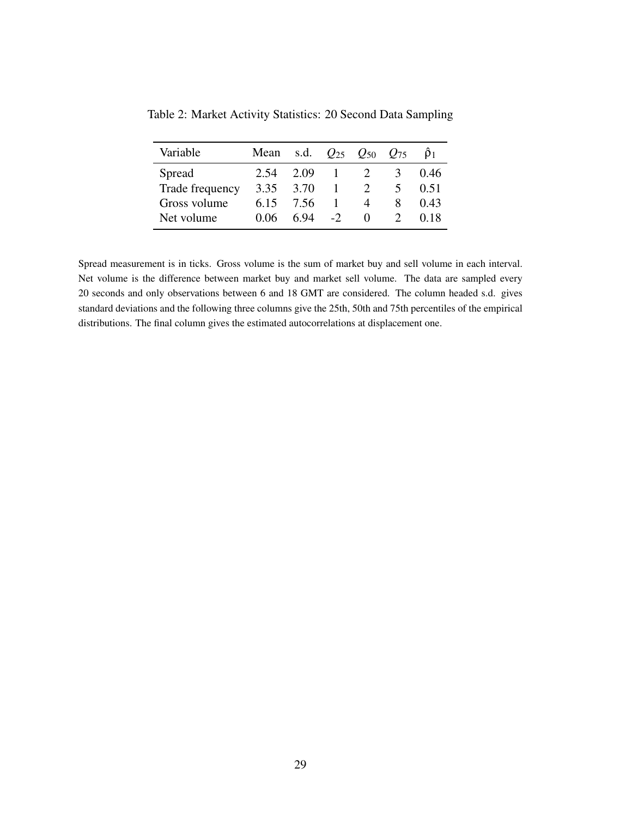| Variable        | Mean      | s.d. | $Q_{25}$ | $Q_{50}$ | $Q_{75}$      | $\rho_1$ |
|-----------------|-----------|------|----------|----------|---------------|----------|
| Spread          | 2.54      | 2.09 |          |          | $\rightarrow$ | 0.46     |
| Trade frequency | 3.35      | 3.70 |          |          |               | 0.51     |
| Gross volume    | 6.15      | 7.56 |          |          | x             | 0.43     |
| Net volume      | $(1)$ (16 | 694  | $-2$     |          |               | 0.18     |

Table 2: Market Activity Statistics: 20 Second Data Sampling

Spread measurement is in ticks. Gross volume is the sum of market buy and sell volume in each interval. Net volume is the difference between market buy and market sell volume. The data are sampled every 20 seconds and only observations between 6 and 18 GMT are considered. The column headed s.d. gives standard deviations and the following three columns give the 25th, 50th and 75th percentiles of the empirical distributions. The final column gives the estimated autocorrelations at displacement one.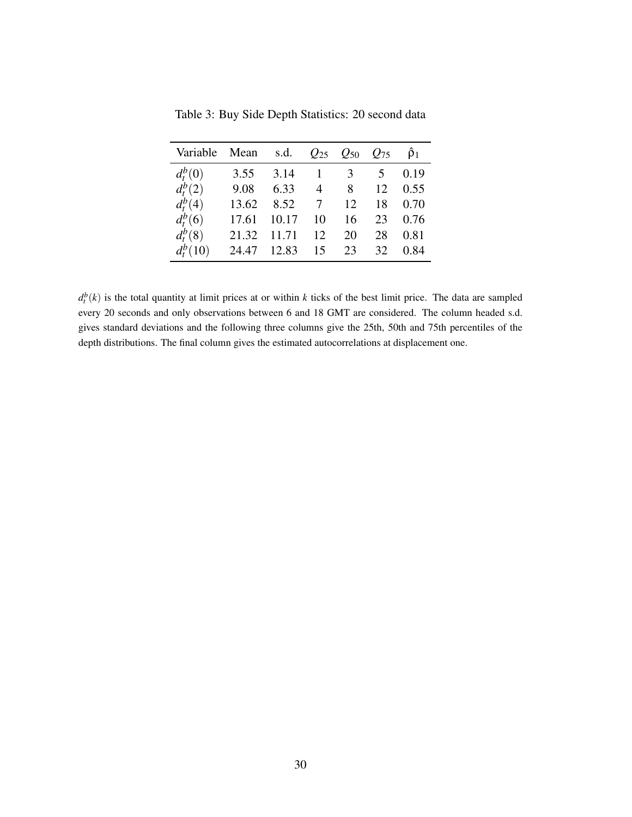| Variable    | Mean  | s.d.  | $Q_{25}$ | $Q_{50}$ | $Q_{75}$ | Ô1   |
|-------------|-------|-------|----------|----------|----------|------|
| $d_t^b(0)$  | 3.55  | 3.14  | 1        | 3        | 5        | 0.19 |
| $d_t^b(2)$  | 9.08  | 6.33  | 4        | 8        | 12       | 0.55 |
| $d_t^b(4)$  | 13.62 | 8.52  | 7        | 12       | 18       | 0.70 |
| $d_t^b(6)$  | 17.61 | 10.17 | 10       | 16       | 23       | 0.76 |
| $d_t^b(8)$  | 21.32 | 11.71 | 12       | 20       | 28       | 0.81 |
| $d_t^b(10)$ | 24.47 | 12.83 | 15       | 23       | 32       | 0.84 |

Table 3: Buy Side Depth Statistics: 20 second data

 $d_t^b(k)$  is the total quantity at limit prices at or within *k* ticks of the best limit price. The data are sampled every 20 seconds and only observations between 6 and 18 GMT are considered. The column headed s.d. gives standard deviations and the following three columns give the 25th, 50th and 75th percentiles of the depth distributions. The final column gives the estimated autocorrelations at displacement one.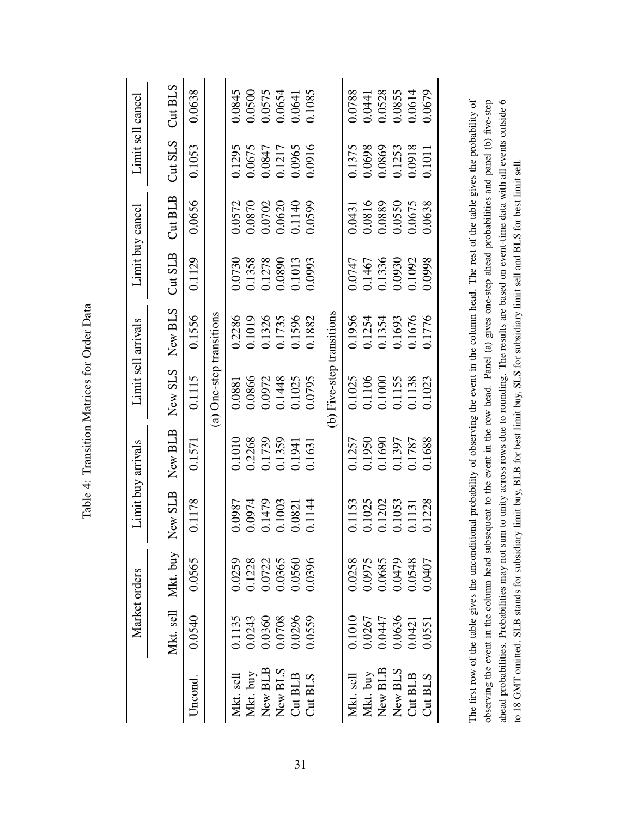|                     | Cut BLS   | 0.0638  |                          | 1.0845 |                  | 0.0500<br>0.0575<br>0.0654<br>0.0641                   |        | 0.1085  |                           | 0.0788    | $\begin{array}{c} 0.0441 \\ 0.0528 \\ 0.0855 \\ 0.0855 \end{array}$ |        |                            |        | 0.0679  |  |
|---------------------|-----------|---------|--------------------------|--------|------------------|--------------------------------------------------------|--------|---------|---------------------------|-----------|---------------------------------------------------------------------|--------|----------------------------|--------|---------|--|
| Limit sell cancel   | Cut SLS   | 0.1053  |                          | 0.1295 |                  | 0.0675<br>0.0847<br>0.1217<br>0.0965                   |        | 0.0916  |                           | 0.1375    | 0.0698                                                              |        | 0.0869<br>0.1253<br>0.0918 |        | 11011   |  |
|                     | Cut BLB   | 0.0656  |                          | 0.0572 |                  | 0.0870<br>0.0702<br>0.0620<br>0.1140                   |        | 0.0599  |                           | 0.0431    | 0.0816<br>0.0889<br>0.0550<br>0.0675                                |        |                            |        | 0.0638  |  |
| Limit buy cancel    | Cut SLB   | 0.1129  |                          |        |                  | 0.0730<br>0.1358<br>0.1278<br>0.0890<br>0.1013         |        | 0.993   |                           |           | 0.0747<br>0.1467<br>0.1336<br>0.0930<br>0.1092                      |        |                            |        | 0.0998  |  |
|                     | New BLS   | 0.1556  |                          | 0.2286 | 0.1019           | 0.1326<br>0.1735<br>0.1596                             |        | 1882    |                           |           | 0.1956<br>0.1254<br>0.1354<br>0.1693<br>0.1676                      |        |                            |        | 0.1776  |  |
| Limit sell arrivals | New SLS   | 0.1115  | (a) One-step transitions | 0.0881 |                  | 0.0866<br>0.0972<br>0.1448<br>0.1025                   |        | 0.0795  | (b) Five-step transitions |           | 0.1025<br>0.1106                                                    |        | 0.1000<br>0.1155<br>0.1138 |        | 0.1023  |  |
|                     | New BLB   | 0.1571  |                          | 0.1010 | 0.2268           | 0.1739<br>0.1359<br>0.1941                             |        | 0.1631  |                           | 0.1257    | 0.1950                                                              |        | 0.1690<br>0.1397<br>0.1787 |        | 0.1688  |  |
| Limit buy arrivals  | New SLB   | 0.1178  |                          | 0.0987 | 0.1479<br>0.1479 | 0.1003                                                 | 0.0821 | 0.1144  |                           | 0.1153    | 0.1025                                                              | 0.1202 | 0.1053                     | 0.1131 | 0.1228  |  |
|                     | Mkt. buy  | 0.0565  |                          | 0.0259 | 0.1228           | 0.0722<br>0.0365<br>0.0560                             |        | 0.0396  |                           | 0.0258    | 0.0975                                                              |        | 0.0685<br>0.0479<br>0.0548 |        | 0.0407  |  |
| Market orders       | Mkt. sell | 0.0540  |                          | 0.1135 | 0.0243           | 0.0360<br>0.0708<br>0.0296                             |        | 0.0559  |                           | 0.1010    | 0.0267                                                              | 0.0447 | 0.0636<br>0.0421           |        | 0.0551  |  |
|                     |           | Uncond. |                          |        |                  | Mkt. sell<br>Mkt. buy<br>New BLB<br>New BLS<br>Cut BLB |        | Cut BLS |                           | Mkt. sell | Mkt. buy<br>New BLB<br>New BLS<br>Cut BLB                           |        |                            |        | Cut BLS |  |

Table 4: Transition Matrices for Order Data Table 4: Transition Matrices for Order Data The first row of the table gives the unconditional probability of observing the event in the column head. The rest of the table gives the probability of observing the event in the column head subsequent to the event in the row head. Panel (a) gives one-step ahead probabilities and panel (b) five-step ahead probabilities. Probabilities may not sum to unity across rows due to rounding. The results are based on event-time data with all events outside 6 ahead probabilities. Probabilities may not sum to unity across rows due to rounding. The results are based on event-time data with all events outside 6 The first row of the table gives the unconditional probability of observing the event in the column head. The rest of the table gives the probability of observing the event in the column head subsequent to the event in the row head. Panel (a) gives one-step ahead probabilities and panel (b) five-step to 18 GMT omitted. SLB stands for subsidiary limit buy, BLB for best limit buy, SLS for subsidiary limit sell and BLS for best limit sell. to 18 GMT omitted. SLB stands for subsidiary limit buy, BLB for best limit buy, SLS for subsidiary limit sell and BLS for best limit sell.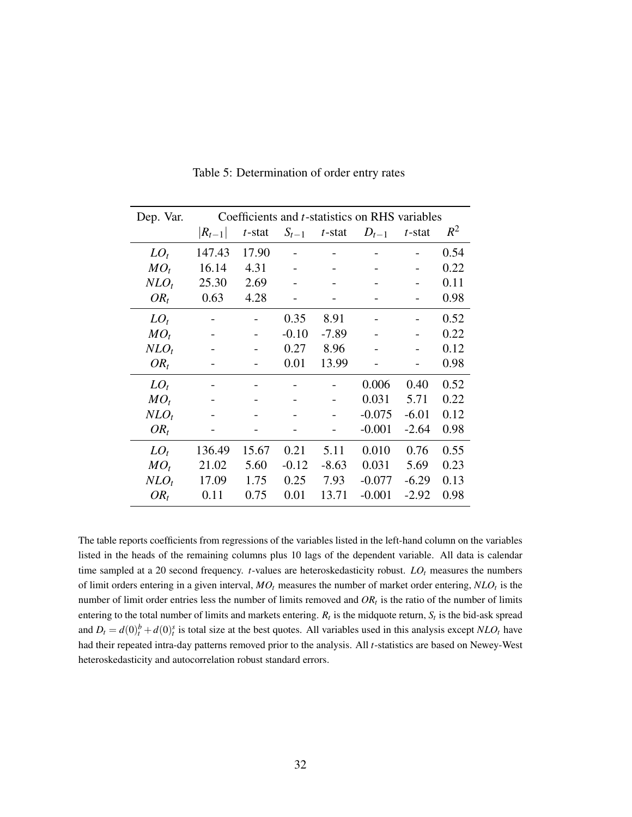| Dep. Var. |             |           |           |           | Coefficients and <i>t</i> -statistics on RHS variables |         |       |
|-----------|-------------|-----------|-----------|-----------|--------------------------------------------------------|---------|-------|
|           | $ R_{t-1} $ | $t$ -stat | $S_{t-1}$ | $t$ -stat | $D_{t-1}$                                              | t-stat  | $R^2$ |
| $LO_t$    | 147.43      | 17.90     |           |           |                                                        |         | 0.54  |
| $MO_t$    | 16.14       | 4.31      |           |           |                                                        |         | 0.22  |
| $NLO_t$   | 25.30       | 2.69      |           |           |                                                        |         | 0.11  |
| $OR_t$    | 0.63        | 4.28      |           |           |                                                        |         | 0.98  |
| $LO_t$    |             |           | 0.35      | 8.91      |                                                        |         | 0.52  |
| $MO_t$    |             |           | $-0.10$   | $-7.89$   |                                                        |         | 0.22  |
| $NLO_t$   |             |           | 0.27      | 8.96      |                                                        |         | 0.12  |
| $OR_t$    |             |           | 0.01      | 13.99     |                                                        |         | 0.98  |
| $LO_t$    |             |           |           |           | 0.006                                                  | 0.40    | 0.52  |
| $MO_t$    |             |           |           |           | 0.031                                                  | 5.71    | 0.22  |
| $NLO_t$   |             |           |           |           | $-0.075$                                               | $-6.01$ | 0.12  |
| $OR_t$    |             |           |           |           | $-0.001$                                               | $-2.64$ | 0.98  |
| $LO_t$    | 136.49      | 15.67     | 0.21      | 5.11      | 0.010                                                  | 0.76    | 0.55  |
| $MO_t$    | 21.02       | 5.60      | $-0.12$   | $-8.63$   | 0.031                                                  | 5.69    | 0.23  |
| $NLO_t$   | 17.09       | 1.75      | 0.25      | 7.93      | $-0.077$                                               | $-6.29$ | 0.13  |
| $OR_t$    | 0.11        | 0.75      | 0.01      | 13.71     | $-0.001$                                               | $-2.92$ | 0.98  |

Table 5: Determination of order entry rates

The table reports coefficients from regressions of the variables listed in the left-hand column on the variables listed in the heads of the remaining columns plus 10 lags of the dependent variable. All data is calendar time sampled at a 20 second frequency. *t*-values are heteroskedasticity robust. *LO<sup>t</sup>* measures the numbers of limit orders entering in a given interval, *MO<sup>t</sup>* measures the number of market order entering, *NLO<sup>t</sup>* is the number of limit order entries less the number of limits removed and *OR<sup>t</sup>* is the ratio of the number of limits entering to the total number of limits and markets entering.  $R_t$  is the midquote return,  $S_t$  is the bid-ask spread and  $D_t = d(0)_t^b + d(0)_t^s$  is total size at the best quotes. All variables used in this analysis except *NLO<sub>t</sub>* have had their repeated intra-day patterns removed prior to the analysis. All *t*-statistics are based on Newey-West heteroskedasticity and autocorrelation robust standard errors.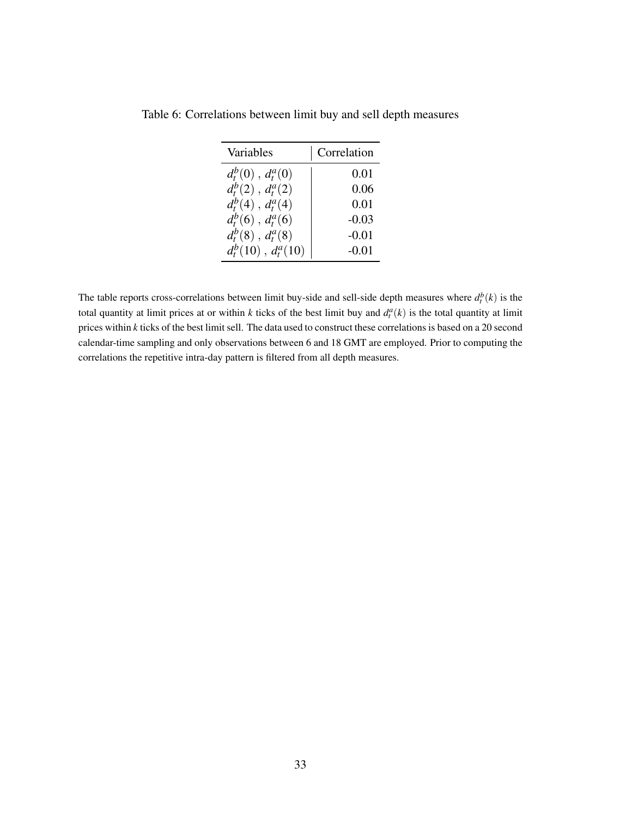| Variables                 | Correlation |
|---------------------------|-------------|
| $d_t^b(0)$ , $d_t^a(0)$   | 0.01        |
| $d_t^b(2)$ , $d_t^a(2)$   | 0.06        |
| $d_t^b(4)$ , $d_t^a(4)$   | 0.01        |
| $d_t^b(6)$ , $d_t^a(6)$   | $-0.03$     |
| $d_t^b(8)$ , $d_t^a(8)$   | $-0.01$     |
| $d_t^b(10)$ , $d_t^a(10)$ | $-0.01$     |

Table 6: Correlations between limit buy and sell depth measures

The table reports cross-correlations between limit buy-side and sell-side depth measures where  $d_t^b(k)$  is the total quantity at limit prices at or within *k* ticks of the best limit buy and  $d_t^a(k)$  is the total quantity at limit prices within *k* ticks of the best limit sell. The data used to construct these correlations is based on a 20 second calendar-time sampling and only observations between 6 and 18 GMT are employed. Prior to computing the correlations the repetitive intra-day pattern is filtered from all depth measures.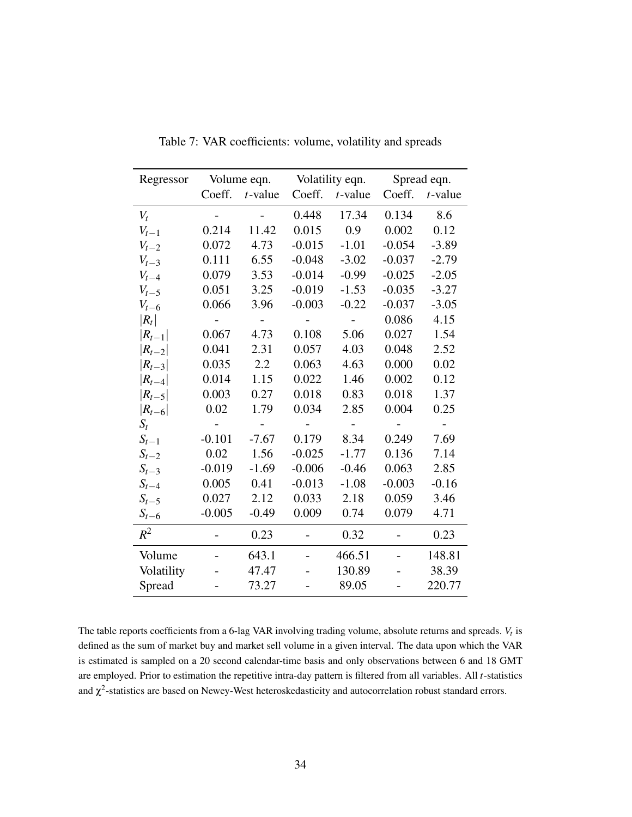| Regressor   |          | Volume eqn. |                          | Volatility eqn. |                | Spread eqn. |
|-------------|----------|-------------|--------------------------|-----------------|----------------|-------------|
|             | Coeff.   | $t$ -value  | Coeff.                   | $t$ -value      | Coeff.         | $t$ -value  |
| $V_t$       |          |             | 0.448                    | 17.34           | 0.134          | 8.6         |
| $V_{t-1}$   | 0.214    | 11.42       | 0.015                    | 0.9             | 0.002          | 0.12        |
| $V_{t-2}$   | 0.072    | 4.73        | $-0.015$                 | $-1.01$         | $-0.054$       | $-3.89$     |
| $V_{t-3}$   | 0.111    | 6.55        | $-0.048$                 | $-3.02$         | $-0.037$       | $-2.79$     |
| $V_{t-4}$   | 0.079    | 3.53        | $-0.014$                 | $-0.99$         | $-0.025$       | $-2.05$     |
| $V_{t-5}$   | 0.051    | 3.25        | $-0.019$                 | $-1.53$         | $-0.035$       | $-3.27$     |
| $V_{t-6}$   | 0.066    | 3.96        | $-0.003$                 | $-0.22$         | $-0.037$       | $-3.05$     |
| $ R_t $     |          |             |                          |                 | 0.086          | 4.15        |
| $ R_{t-1} $ | 0.067    | 4.73        | 0.108                    | 5.06            | 0.027          | 1.54        |
| $ R_{t-2} $ | 0.041    | 2.31        | 0.057                    | 4.03            | 0.048          | 2.52        |
| $ R_{t-3} $ | 0.035    | 2.2         | 0.063                    | 4.63            | 0.000          | 0.02        |
| $ R_{t-4} $ | 0.014    | 1.15        | 0.022                    | 1.46            | 0.002          | 0.12        |
| $ R_{t-5} $ | 0.003    | 0.27        | 0.018                    | 0.83            | 0.018          | 1.37        |
| $ R_{t-6} $ | 0.02     | 1.79        | 0.034                    | 2.85            | 0.004          | 0.25        |
| $S_t$       |          |             |                          |                 |                |             |
| $S_{t-1}$   | $-0.101$ | $-7.67$     | 0.179                    | 8.34            | 0.249          | 7.69        |
| $S_{t-2}$   | 0.02     | 1.56        | $-0.025$                 | $-1.77$         | 0.136          | 7.14        |
| $S_{t-3}$   | $-0.019$ | $-1.69$     | $-0.006$                 | $-0.46$         | 0.063          | 2.85        |
| $S_{t-4}$   | 0.005    | 0.41        | $-0.013$                 | $-1.08$         | $-0.003$       | $-0.16$     |
| $S_{t-5}$   | 0.027    | 2.12        | 0.033                    | 2.18            | 0.059          | 3.46        |
| $S_{t-6}$   | $-0.005$ | $-0.49$     | 0.009                    | 0.74            | 0.079          | 4.71        |
| $R^2$       |          | 0.23        |                          | 0.32            |                | 0.23        |
| Volume      |          | 643.1       | $\overline{\phantom{0}}$ | 466.51          | $\overline{a}$ | 148.81      |
| Volatility  |          | 47.47       |                          | 130.89          |                | 38.39       |
| Spread      |          | 73.27       |                          | 89.05           | $\overline{a}$ | 220.77      |

Table 7: VAR coefficients: volume, volatility and spreads

The table reports coefficients from a 6-lag VAR involving trading volume, absolute returns and spreads. *V<sup>t</sup>* is defined as the sum of market buy and market sell volume in a given interval. The data upon which the VAR is estimated is sampled on a 20 second calendar-time basis and only observations between 6 and 18 GMT are employed. Prior to estimation the repetitive intra-day pattern is filtered from all variables. All *t*-statistics and  $\chi^2$ -statistics are based on Newey-West heteroskedasticity and autocorrelation robust standard errors.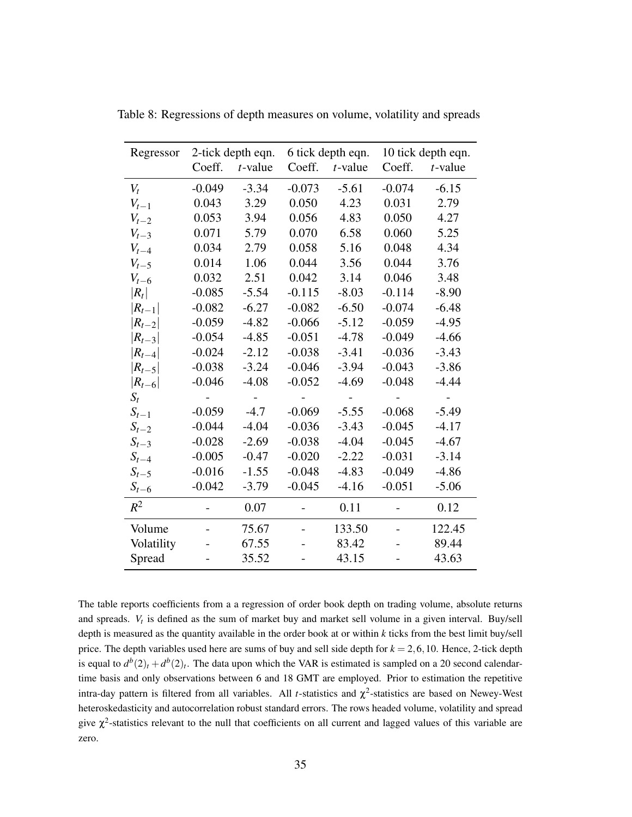| Regressor   |          | 2-tick depth eqn. |          | 6 tick depth eqn. |          | 10 tick depth eqn. |
|-------------|----------|-------------------|----------|-------------------|----------|--------------------|
|             | Coeff.   | $t$ -value        | Coeff.   | $t$ -value        | Coeff.   | $t$ -value         |
| $V_t$       | $-0.049$ | $-3.34$           | $-0.073$ | $-5.61$           | $-0.074$ | $-6.15$            |
| $V_{t-1}$   | 0.043    | 3.29              | 0.050    | 4.23              | 0.031    | 2.79               |
| $V_{t-2}$   | 0.053    | 3.94              | 0.056    | 4.83              | 0.050    | 4.27               |
| $V_{t-3}$   | 0.071    | 5.79              | 0.070    | 6.58              | 0.060    | 5.25               |
| $V_{t-4}$   | 0.034    | 2.79              | 0.058    | 5.16              | 0.048    | 4.34               |
| $V_{t-5}$   | 0.014    | 1.06              | 0.044    | 3.56              | 0.044    | 3.76               |
| $V_{t-6}$   | 0.032    | 2.51              | 0.042    | 3.14              | 0.046    | 3.48               |
| $ R_t $     | $-0.085$ | $-5.54$           | $-0.115$ | $-8.03$           | $-0.114$ | $-8.90$            |
| $ R_{t-1} $ | $-0.082$ | $-6.27$           | $-0.082$ | $-6.50$           | $-0.074$ | $-6.48$            |
| $ R_{t-2} $ | $-0.059$ | $-4.82$           | $-0.066$ | $-5.12$           | $-0.059$ | $-4.95$            |
| $ R_{t-3} $ | $-0.054$ | $-4.85$           | $-0.051$ | $-4.78$           | $-0.049$ | $-4.66$            |
| $ R_{t-4} $ | $-0.024$ | $-2.12$           | $-0.038$ | $-3.41$           | $-0.036$ | $-3.43$            |
| $ R_{t-5} $ | $-0.038$ | $-3.24$           | $-0.046$ | $-3.94$           | $-0.043$ | $-3.86$            |
| $ R_{t-6} $ | $-0.046$ | $-4.08$           | $-0.052$ | $-4.69$           | $-0.048$ | $-4.44$            |
| $S_t$       |          |                   |          |                   |          |                    |
| $S_{t-1}$   | $-0.059$ | $-4.7$            | $-0.069$ | $-5.55$           | $-0.068$ | $-5.49$            |
| $S_{t-2}$   | $-0.044$ | $-4.04$           | $-0.036$ | $-3.43$           | $-0.045$ | $-4.17$            |
| $S_{t-3}$   | $-0.028$ | $-2.69$           | $-0.038$ | $-4.04$           | $-0.045$ | $-4.67$            |
| $S_{t-4}$   | $-0.005$ | $-0.47$           | $-0.020$ | $-2.22$           | $-0.031$ | $-3.14$            |
| $S_{t-5}$   | $-0.016$ | $-1.55$           | $-0.048$ | $-4.83$           | $-0.049$ | $-4.86$            |
| $S_{t-6}$   | $-0.042$ | $-3.79$           | $-0.045$ | $-4.16$           | $-0.051$ | $-5.06$            |
| $R^2$       |          | 0.07              |          | 0.11              |          | 0.12               |
| Volume      |          | 75.67             |          | 133.50            |          | 122.45             |
| Volatility  |          | 67.55             |          | 83.42             |          | 89.44              |
| Spread      |          | 35.52             |          | 43.15             |          | 43.63              |

Table 8: Regressions of depth measures on volume, volatility and spreads

The table reports coefficients from a a regression of order book depth on trading volume, absolute returns and spreads. *V<sup>t</sup>* is defined as the sum of market buy and market sell volume in a given interval. Buy/sell depth is measured as the quantity available in the order book at or within *k* ticks from the best limit buy/sell price. The depth variables used here are sums of buy and sell side depth for *k* = 2,6,10. Hence, 2-tick depth is equal to  $d^b(2)_t + d^b(2)_t$ . The data upon which the VAR is estimated is sampled on a 20 second calendartime basis and only observations between 6 and 18 GMT are employed. Prior to estimation the repetitive intra-day pattern is filtered from all variables. All *t*-statistics and  $\chi^2$ -statistics are based on Newey-West heteroskedasticity and autocorrelation robust standard errors. The rows headed volume, volatility and spread give  $\chi^2$ -statistics relevant to the null that coefficients on all current and lagged values of this variable are zero.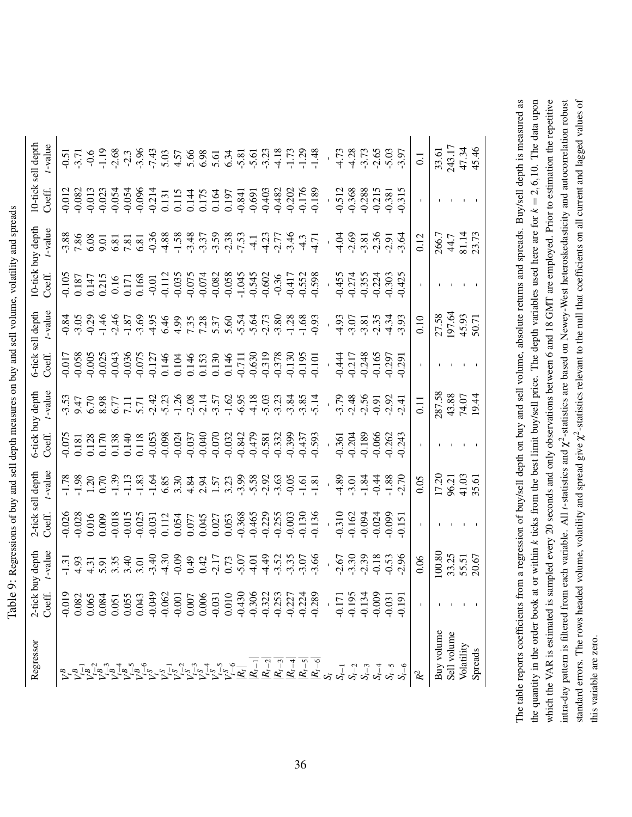| $\vdots$                                                                                       |
|------------------------------------------------------------------------------------------------|
| ${1 \over 2}$<br>;                                                                             |
|                                                                                                |
| $\frac{1}{2}$ and $\frac{1}{2}$ and $\frac{1}{2}$                                              |
|                                                                                                |
|                                                                                                |
|                                                                                                |
|                                                                                                |
| Parrecono of buy and call danth maggires on buy and call volume 10<br><b>NEWSHIP</b><br>I<br>: |
|                                                                                                |
| こうこう<br>j<br>$\frac{1}{2}$<br>I<br>i                                                           |

╘

| Regressor                                                                                                                                                                                                                                                                                                                                                                                                                                                             | $2$ -tick $l$<br>Coeff                                                               | $-$ value<br>buy depth                                                                                                                                                                                                                                                                                                                                                                                                                                                                                                        | Coeff. | $t$ -value<br>2-tick sell depth                                                                                                                                                                                                                                                                            | Coeff.                                    | $t$ -value<br>5-tick buy depth | Coeff.                                    | 6-tick sell depth<br>$t$ -value                                               | Coeff. | 10-tick buy depth<br>t-value    | Coeff.                                                   | 10-tick sell depth<br>$t$ -value                                                                                                                                                                                               |
|-----------------------------------------------------------------------------------------------------------------------------------------------------------------------------------------------------------------------------------------------------------------------------------------------------------------------------------------------------------------------------------------------------------------------------------------------------------------------|--------------------------------------------------------------------------------------|-------------------------------------------------------------------------------------------------------------------------------------------------------------------------------------------------------------------------------------------------------------------------------------------------------------------------------------------------------------------------------------------------------------------------------------------------------------------------------------------------------------------------------|--------|------------------------------------------------------------------------------------------------------------------------------------------------------------------------------------------------------------------------------------------------------------------------------------------------------------|-------------------------------------------|--------------------------------|-------------------------------------------|-------------------------------------------------------------------------------|--------|---------------------------------|----------------------------------------------------------|--------------------------------------------------------------------------------------------------------------------------------------------------------------------------------------------------------------------------------|
|                                                                                                                                                                                                                                                                                                                                                                                                                                                                       |                                                                                      |                                                                                                                                                                                                                                                                                                                                                                                                                                                                                                                               |        |                                                                                                                                                                                                                                                                                                            |                                           |                                |                                           |                                                                               |        |                                 |                                                          |                                                                                                                                                                                                                                |
|                                                                                                                                                                                                                                                                                                                                                                                                                                                                       | $-0.019$<br>0.082                                                                    |                                                                                                                                                                                                                                                                                                                                                                                                                                                                                                                               |        |                                                                                                                                                                                                                                                                                                            |                                           |                                |                                           |                                                                               |        |                                 |                                                          | $5.70$ $-2.80$ $-3.80$ $-3.50$ $-3.50$ $-3.50$ $-3.50$ $-3.50$ $-3.50$ $-3.50$ $-3.50$ $-3.50$ $-3.50$ $-3.50$ $-3.50$ $-3.50$ $-3.50$ $-3.50$ $-3.50$ $-3.50$ $-3.50$ $-3.50$ $-3.50$ $-3.50$ $-3.50$ $-3.50$ $-3.50$ $-3.50$ |
|                                                                                                                                                                                                                                                                                                                                                                                                                                                                       | $\begin{array}{c} 0.065 \\ 0.084 \\ 0.051 \\ 0.055 \\ 0.043 \\ 0.043 \\ \end{array}$ |                                                                                                                                                                                                                                                                                                                                                                                                                                                                                                                               |        |                                                                                                                                                                                                                                                                                                            |                                           |                                |                                           |                                                                               |        |                                 |                                                          |                                                                                                                                                                                                                                |
| ĩβ                                                                                                                                                                                                                                                                                                                                                                                                                                                                    |                                                                                      |                                                                                                                                                                                                                                                                                                                                                                                                                                                                                                                               |        |                                                                                                                                                                                                                                                                                                            |                                           |                                |                                           |                                                                               |        |                                 |                                                          |                                                                                                                                                                                                                                |
| $\sum_{l=1}^{n}$                                                                                                                                                                                                                                                                                                                                                                                                                                                      |                                                                                      |                                                                                                                                                                                                                                                                                                                                                                                                                                                                                                                               |        |                                                                                                                                                                                                                                                                                                            |                                           |                                |                                           |                                                                               |        |                                 |                                                          |                                                                                                                                                                                                                                |
| $\tilde{f}'$                                                                                                                                                                                                                                                                                                                                                                                                                                                          |                                                                                      |                                                                                                                                                                                                                                                                                                                                                                                                                                                                                                                               |        |                                                                                                                                                                                                                                                                                                            |                                           |                                |                                           |                                                                               |        |                                 |                                                          |                                                                                                                                                                                                                                |
|                                                                                                                                                                                                                                                                                                                                                                                                                                                                       |                                                                                      |                                                                                                                                                                                                                                                                                                                                                                                                                                                                                                                               |        |                                                                                                                                                                                                                                                                                                            |                                           |                                |                                           |                                                                               |        |                                 |                                                          |                                                                                                                                                                                                                                |
|                                                                                                                                                                                                                                                                                                                                                                                                                                                                       |                                                                                      |                                                                                                                                                                                                                                                                                                                                                                                                                                                                                                                               |        |                                                                                                                                                                                                                                                                                                            |                                           |                                |                                           |                                                                               |        |                                 |                                                          |                                                                                                                                                                                                                                |
|                                                                                                                                                                                                                                                                                                                                                                                                                                                                       | $-0.062$                                                                             |                                                                                                                                                                                                                                                                                                                                                                                                                                                                                                                               |        |                                                                                                                                                                                                                                                                                                            |                                           |                                |                                           |                                                                               |        |                                 |                                                          |                                                                                                                                                                                                                                |
|                                                                                                                                                                                                                                                                                                                                                                                                                                                                       | $-0.001$                                                                             |                                                                                                                                                                                                                                                                                                                                                                                                                                                                                                                               |        |                                                                                                                                                                                                                                                                                                            |                                           |                                |                                           |                                                                               |        |                                 |                                                          |                                                                                                                                                                                                                                |
|                                                                                                                                                                                                                                                                                                                                                                                                                                                                       | $0.007$                                                                              |                                                                                                                                                                                                                                                                                                                                                                                                                                                                                                                               |        |                                                                                                                                                                                                                                                                                                            |                                           |                                |                                           |                                                                               |        |                                 |                                                          |                                                                                                                                                                                                                                |
| $\begin{array}{l} \mathbf{1}\\ \mathbf{2}\\ \mathbf{3}\\ \mathbf{4}\\ \mathbf{5}\\ \mathbf{6}\\ \mathbf{7}\\ \mathbf{8}\\ \mathbf{9}\\ \mathbf{10}\\ \mathbf{11}\\ \mathbf{22}\\ \mathbf{33}\\ \mathbf{44}\\ \mathbf{55}\\ \mathbf{65}\\ \mathbf{76}\\ \mathbf{87}\\ \mathbf{88}\\ \mathbf{96}\\ \mathbf{10}\\ \mathbf{11}\\ \mathbf{12}\\ \mathbf{13}\\ \mathbf{14}\\ \mathbf{16}\\ \mathbf{18}\\ \mathbf{18}\\ \mathbf{19}\\ \mathbf{10}\\ \mathbf{10}\\ \mathbf{1$ | 0.006                                                                                |                                                                                                                                                                                                                                                                                                                                                                                                                                                                                                                               |        |                                                                                                                                                                                                                                                                                                            |                                           |                                |                                           |                                                                               |        |                                 |                                                          |                                                                                                                                                                                                                                |
|                                                                                                                                                                                                                                                                                                                                                                                                                                                                       | $-0.031$                                                                             |                                                                                                                                                                                                                                                                                                                                                                                                                                                                                                                               |        |                                                                                                                                                                                                                                                                                                            |                                           |                                |                                           |                                                                               |        |                                 |                                                          |                                                                                                                                                                                                                                |
|                                                                                                                                                                                                                                                                                                                                                                                                                                                                       | 0.010                                                                                |                                                                                                                                                                                                                                                                                                                                                                                                                                                                                                                               |        |                                                                                                                                                                                                                                                                                                            |                                           |                                |                                           |                                                                               |        |                                 |                                                          |                                                                                                                                                                                                                                |
|                                                                                                                                                                                                                                                                                                                                                                                                                                                                       |                                                                                      |                                                                                                                                                                                                                                                                                                                                                                                                                                                                                                                               |        |                                                                                                                                                                                                                                                                                                            |                                           |                                |                                           |                                                                               |        |                                 |                                                          |                                                                                                                                                                                                                                |
|                                                                                                                                                                                                                                                                                                                                                                                                                                                                       |                                                                                      |                                                                                                                                                                                                                                                                                                                                                                                                                                                                                                                               |        |                                                                                                                                                                                                                                                                                                            |                                           |                                |                                           |                                                                               |        |                                 |                                                          |                                                                                                                                                                                                                                |
|                                                                                                                                                                                                                                                                                                                                                                                                                                                                       |                                                                                      |                                                                                                                                                                                                                                                                                                                                                                                                                                                                                                                               |        |                                                                                                                                                                                                                                                                                                            |                                           |                                |                                           |                                                                               |        |                                 |                                                          |                                                                                                                                                                                                                                |
|                                                                                                                                                                                                                                                                                                                                                                                                                                                                       |                                                                                      |                                                                                                                                                                                                                                                                                                                                                                                                                                                                                                                               |        |                                                                                                                                                                                                                                                                                                            |                                           |                                |                                           |                                                                               |        |                                 |                                                          |                                                                                                                                                                                                                                |
|                                                                                                                                                                                                                                                                                                                                                                                                                                                                       |                                                                                      |                                                                                                                                                                                                                                                                                                                                                                                                                                                                                                                               |        |                                                                                                                                                                                                                                                                                                            |                                           |                                |                                           |                                                                               |        |                                 |                                                          |                                                                                                                                                                                                                                |
|                                                                                                                                                                                                                                                                                                                                                                                                                                                                       |                                                                                      |                                                                                                                                                                                                                                                                                                                                                                                                                                                                                                                               |        |                                                                                                                                                                                                                                                                                                            |                                           |                                |                                           |                                                                               |        |                                 |                                                          |                                                                                                                                                                                                                                |
| $R_{t-3}$<br>$R_{t-3}$<br>$R_{t-4}$<br>$R_{t-5}$<br>$R_{t-6}$<br>$S_{t-1}$                                                                                                                                                                                                                                                                                                                                                                                            | $-0.306$<br>$-0.302$<br>$-0.323$<br>$-0.253$<br>$-0.224$<br>$-0.24$<br>$-0.24$       | $\begin{array}{ccccccccccccc}\n\ddot{\varphi} & \dot{\varphi} & \dot{\varphi} & \dot{\varphi} & \dot{\varphi} & \dot{\varphi} & \dot{\varphi} & \dot{\varphi} & \dot{\varphi} & \dot{\varphi} & \dot{\varphi} & \dot{\varphi} & \dot{\varphi} & \dot{\varphi} & \dot{\varphi} & \dot{\varphi} & \dot{\varphi} & \dot{\varphi} & \dot{\varphi} & \dot{\varphi} & \dot{\varphi} & \dot{\varphi} & \dot{\varphi} & \dot{\varphi} & \dot{\varphi} & \dot{\varphi} & \dot{\varphi} & \dot{\varphi} & \dot{\varphi} & \dot{\varphi$ |        | $\frac{8}{17}$ $\frac{8}{7}$ $\frac{8}{17}$ $\frac{8}{17}$ $\frac{12}{17}$ $\frac{12}{17}$ $\frac{12}{17}$ $\frac{12}{17}$ $\frac{12}{17}$ $\frac{12}{17}$ $\frac{12}{17}$ $\frac{12}{17}$ $\frac{12}{17}$ $\frac{12}{17}$ $\frac{12}{17}$ $\frac{12}{17}$ $\frac{12}{17}$ $\frac{12}{17}$ $\frac{12}{17}$ |                                           |                                |                                           |                                                                               |        |                                 |                                                          |                                                                                                                                                                                                                                |
|                                                                                                                                                                                                                                                                                                                                                                                                                                                                       |                                                                                      |                                                                                                                                                                                                                                                                                                                                                                                                                                                                                                                               |        |                                                                                                                                                                                                                                                                                                            |                                           |                                |                                           |                                                                               |        |                                 |                                                          |                                                                                                                                                                                                                                |
|                                                                                                                                                                                                                                                                                                                                                                                                                                                                       | $-0.171$                                                                             |                                                                                                                                                                                                                                                                                                                                                                                                                                                                                                                               |        | $49.548$<br>$-9.5448$<br>$-9.5448$<br>$-1.00$                                                                                                                                                                                                                                                              | 0.361<br>0.204<br>0.189<br>0.066<br>0.262 | 0<br>0.486502<br>0.0.0.0.1     | 0.444<br>0.217<br>0.248<br>0.297<br>0.297 | $-9.5$ $-3.8$<br>$-4.9$ $-3.8$<br>$-4.9$ $-3.8$<br>$-4.9$<br>$-3.8$<br>$-3.8$ |        |                                 | $-0.512$<br>$-0.368$<br>$-0.288$<br>$-0.215$<br>$-0.315$ |                                                                                                                                                                                                                                |
| $S_{t-2}$                                                                                                                                                                                                                                                                                                                                                                                                                                                             |                                                                                      |                                                                                                                                                                                                                                                                                                                                                                                                                                                                                                                               |        |                                                                                                                                                                                                                                                                                                            |                                           |                                |                                           |                                                                               |        |                                 |                                                          |                                                                                                                                                                                                                                |
| ${\cal S}_{t-3}$                                                                                                                                                                                                                                                                                                                                                                                                                                                      |                                                                                      |                                                                                                                                                                                                                                                                                                                                                                                                                                                                                                                               |        |                                                                                                                                                                                                                                                                                                            |                                           |                                |                                           |                                                                               |        |                                 |                                                          |                                                                                                                                                                                                                                |
| $S_{t-4}$                                                                                                                                                                                                                                                                                                                                                                                                                                                             | $-0.195$<br>$-0.134$<br>$-0.009$<br>$-0.031$                                         |                                                                                                                                                                                                                                                                                                                                                                                                                                                                                                                               |        |                                                                                                                                                                                                                                                                                                            |                                           |                                |                                           |                                                                               |        | $49920$<br>$49920$<br>$49920$   |                                                          |                                                                                                                                                                                                                                |
| $S_{t-5}$                                                                                                                                                                                                                                                                                                                                                                                                                                                             |                                                                                      |                                                                                                                                                                                                                                                                                                                                                                                                                                                                                                                               |        |                                                                                                                                                                                                                                                                                                            |                                           |                                |                                           |                                                                               |        |                                 |                                                          |                                                                                                                                                                                                                                |
|                                                                                                                                                                                                                                                                                                                                                                                                                                                                       | (61.0)                                                                               |                                                                                                                                                                                                                                                                                                                                                                                                                                                                                                                               | 0.15   |                                                                                                                                                                                                                                                                                                            | 0.243                                     | 2.4                            |                                           |                                                                               |        |                                 |                                                          |                                                                                                                                                                                                                                |
| $\mathcal{R}^2$                                                                                                                                                                                                                                                                                                                                                                                                                                                       |                                                                                      | 0.06                                                                                                                                                                                                                                                                                                                                                                                                                                                                                                                          |        | 0.05                                                                                                                                                                                                                                                                                                       |                                           | 0.11                           |                                           | 0.10                                                                          |        | 0.12                            |                                                          | $\overline{0}$ .                                                                                                                                                                                                               |
| Buy volume                                                                                                                                                                                                                                                                                                                                                                                                                                                            |                                                                                      | 100.80                                                                                                                                                                                                                                                                                                                                                                                                                                                                                                                        |        | 17.20                                                                                                                                                                                                                                                                                                      |                                           | 287.58                         |                                           | 27.58                                                                         |        |                                 |                                                          |                                                                                                                                                                                                                                |
| Sell volume                                                                                                                                                                                                                                                                                                                                                                                                                                                           |                                                                                      | 33.25                                                                                                                                                                                                                                                                                                                                                                                                                                                                                                                         |        | 96.21<br>41.03<br>35.61                                                                                                                                                                                                                                                                                    |                                           | 43.88<br>74.07<br>19.44        |                                           | 197.64<br>45.93<br>50.71                                                      |        | 266.7<br>44.7<br>81.14<br>23.73 |                                                          | 33.61<br>243.17<br>47.34<br>45.46                                                                                                                                                                                              |
| Volatility                                                                                                                                                                                                                                                                                                                                                                                                                                                            |                                                                                      | 55.51<br>20.67                                                                                                                                                                                                                                                                                                                                                                                                                                                                                                                |        |                                                                                                                                                                                                                                                                                                            |                                           |                                |                                           |                                                                               |        |                                 |                                                          |                                                                                                                                                                                                                                |
| Spreads                                                                                                                                                                                                                                                                                                                                                                                                                                                               |                                                                                      |                                                                                                                                                                                                                                                                                                                                                                                                                                                                                                                               |        |                                                                                                                                                                                                                                                                                                            |                                           |                                |                                           |                                                                               |        |                                 |                                                          |                                                                                                                                                                                                                                |

The table reports coefficients from a regression of buy/sell depth on buy and sell volume, absolute returns and spreads. Buy/sell depth is measured as which the VAR is estimated is sampled every 20 seconds and only observations between 6 and 18 GMT are employed. Prior to estimation the repetitive intra-day pattern is filtered from each variable. All t-statistics and x2-statistics are based on Newey-West heteroskedasticity and autocorrelation robust standard errors. The rows headed volume, volatility and spread give  $\chi^2$ -statistics relevant to the null that coefficients on all current and lagged values of the quantity in the order book at or within k ticks from the best limit buy/sell price. The depth variables used here are for  $k = 2, 6, 10$ . The data upon standard errors. The rows headed volume, volatility and spread give  $\chi^2$ -statistics relevant to the null that coefficients on all current and lagged values of The table reports coefficients from a regression of buy/sell depth on buy and sell volume, absolute returns and spreads. Buy/sell depth is measured as the quantity in the order book at or within *k* ticks from the best limit buy/sell price. The depth variables used here are for *k* = 2,6,10. The data upon which the VAR is estimated is sampled every 20 seconds and only observations between 6 and 18 GMT are employed. Prior to estimation the repetitive intra-day pattern is filtered from each variable. All *t*-statistics and χ2-statistics are based on Newey-West heteroskedasticity and autocorrelation robust this variable are zero. this variable are zero.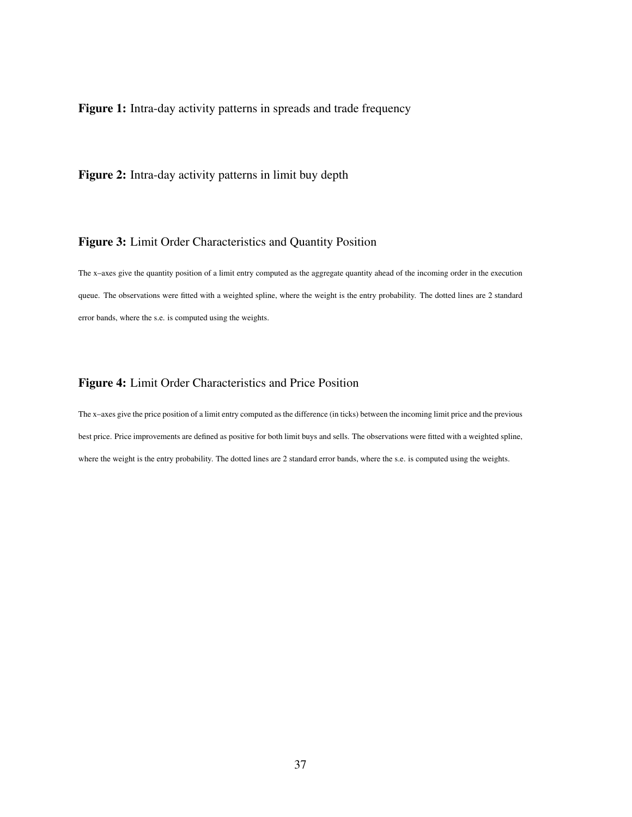Figure 1: Intra-day activity patterns in spreads and trade frequency

Figure 2: Intra-day activity patterns in limit buy depth

#### Figure 3: Limit Order Characteristics and Quantity Position

The x–axes give the quantity position of a limit entry computed as the aggregate quantity ahead of the incoming order in the execution queue. The observations were fitted with a weighted spline, where the weight is the entry probability. The dotted lines are 2 standard error bands, where the s.e. is computed using the weights.

#### Figure 4: Limit Order Characteristics and Price Position

The x–axes give the price position of a limit entry computed as the difference (in ticks) between the incoming limit price and the previous best price. Price improvements are defined as positive for both limit buys and sells. The observations were fitted with a weighted spline, where the weight is the entry probability. The dotted lines are 2 standard error bands, where the s.e. is computed using the weights.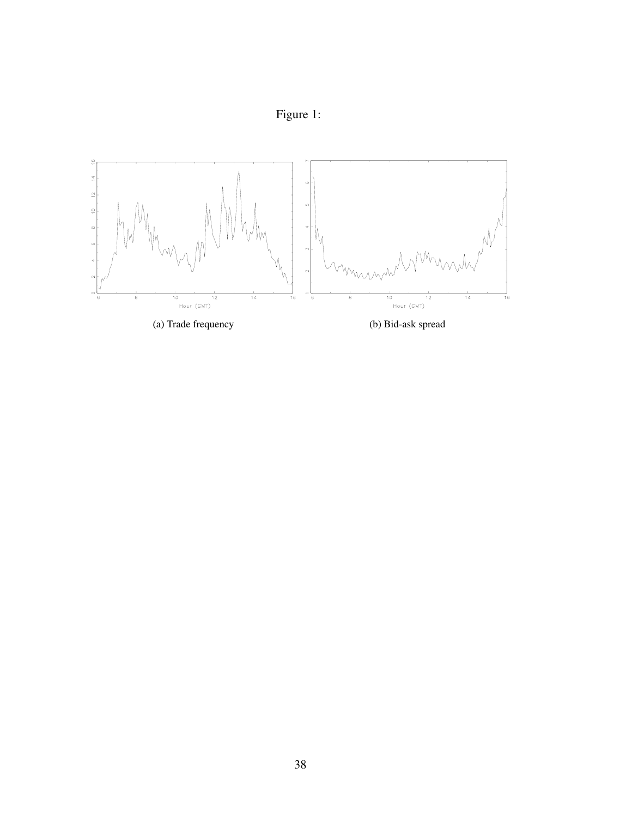

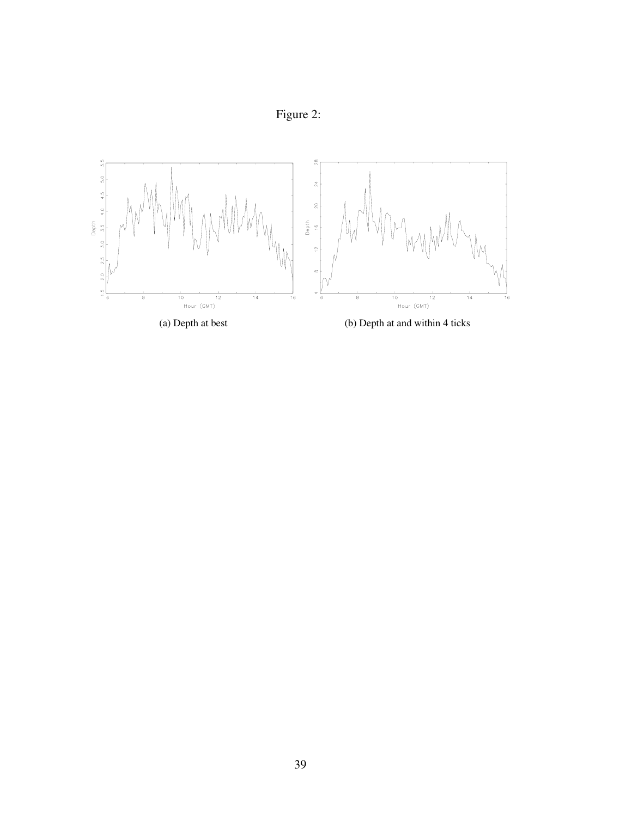

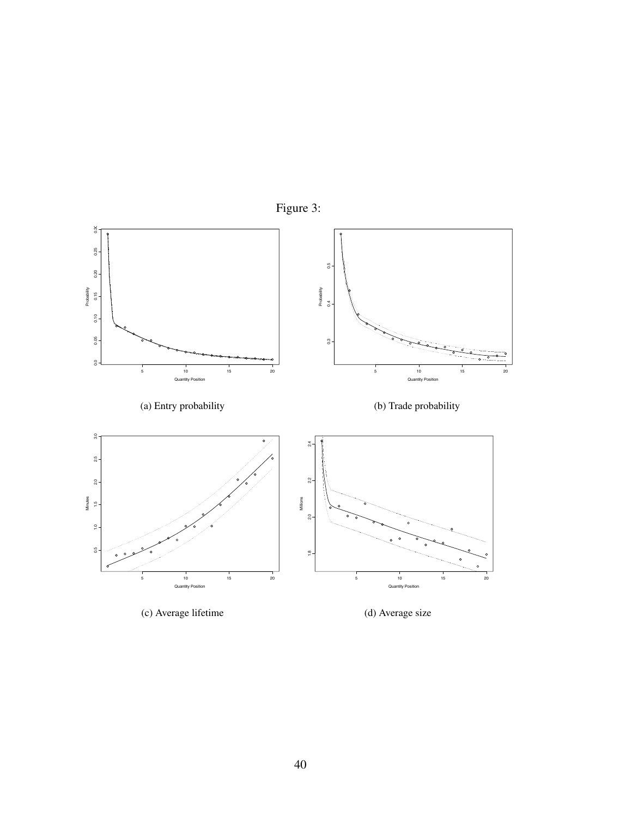

40